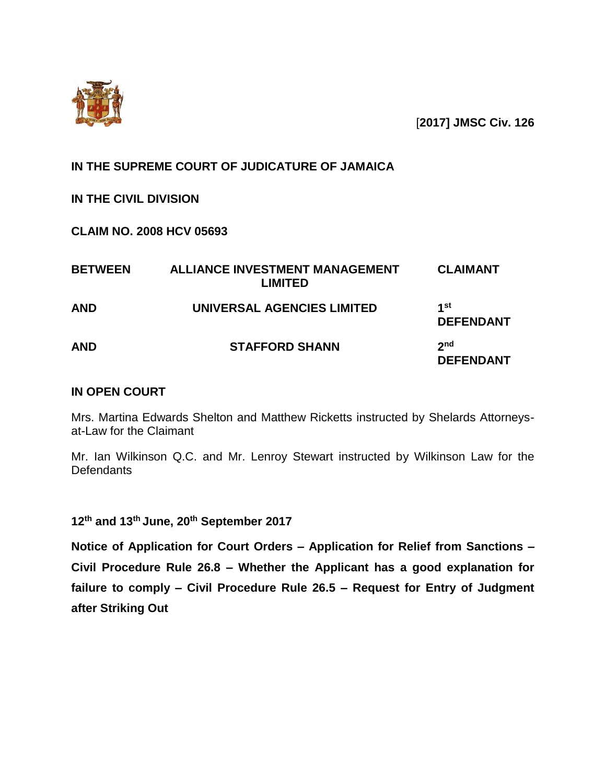

[**2017] JMSC Civ. 126**

**IN THE SUPREME COURT OF JUDICATURE OF JAMAICA**

# **IN THE CIVIL DIVISION**

**CLAIM NO. 2008 HCV 05693**

| <b>BETWEEN</b> | <b>ALLIANCE INVESTMENT MANAGEMENT</b><br><b>LIMITED</b> | <b>CLAIMANT</b>                     |
|----------------|---------------------------------------------------------|-------------------------------------|
| <b>AND</b>     | UNIVERSAL AGENCIES LIMITED                              | 1st<br><b>DEFENDANT</b>             |
| <b>AND</b>     | <b>STAFFORD SHANN</b>                                   | 2 <sub>nd</sub><br><b>DEFENDANT</b> |

# **IN OPEN COURT**

Mrs. Martina Edwards Shelton and Matthew Ricketts instructed by Shelards Attorneysat-Law for the Claimant

Mr. Ian Wilkinson Q.C. and Mr. Lenroy Stewart instructed by Wilkinson Law for the **Defendants** 

**12th and 13th June, 20th September 2017**

**Notice of Application for Court Orders – Application for Relief from Sanctions – Civil Procedure Rule 26.8 – Whether the Applicant has a good explanation for failure to comply – Civil Procedure Rule 26.5 – Request for Entry of Judgment after Striking Out**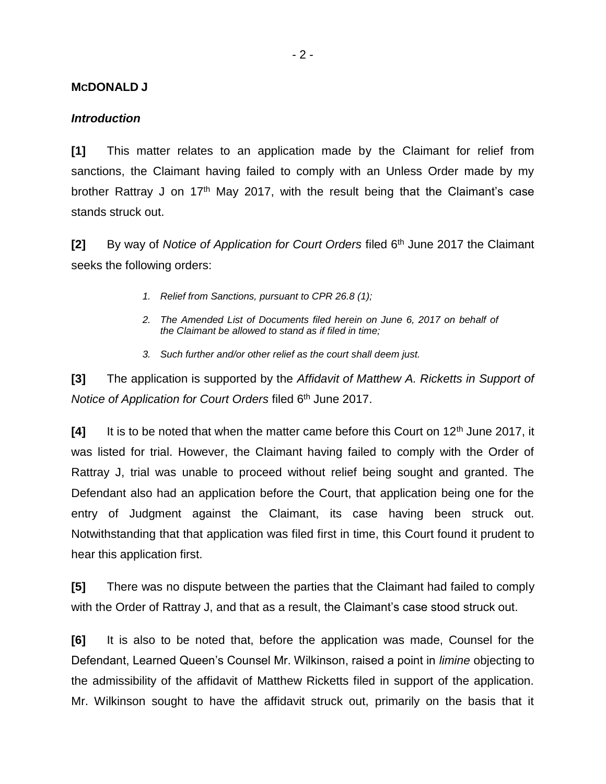#### **MCDONALD J**

#### *Introduction*

**[1]** This matter relates to an application made by the Claimant for relief from sanctions, the Claimant having failed to comply with an Unless Order made by my brother Rattray J on  $17<sup>th</sup>$  May 2017, with the result being that the Claimant's case stands struck out.

**[2]** By way of *Notice of Application for Court Orders* filed 6th June 2017 the Claimant seeks the following orders:

- *1. Relief from Sanctions, pursuant to CPR 26.8 (1);*
- *2. The Amended List of Documents filed herein on June 6, 2017 on behalf of the Claimant be allowed to stand as if filed in time;*
- *3. Such further and/or other relief as the court shall deem just.*

**[3]** The application is supported by the *Affidavit of Matthew A. Ricketts in Support of Notice of Application for Court Orders filed 6<sup>th</sup> June 2017.* 

**[4]** It is to be noted that when the matter came before this Court on 12<sup>th</sup> June 2017, it was listed for trial. However, the Claimant having failed to comply with the Order of Rattray J, trial was unable to proceed without relief being sought and granted. The Defendant also had an application before the Court, that application being one for the entry of Judgment against the Claimant, its case having been struck out. Notwithstanding that that application was filed first in time, this Court found it prudent to hear this application first.

**[5]** There was no dispute between the parties that the Claimant had failed to comply with the Order of Rattray J, and that as a result, the Claimant's case stood struck out.

**[6]** It is also to be noted that, before the application was made, Counsel for the Defendant, Learned Queen's Counsel Mr. Wilkinson, raised a point in *limine* objecting to the admissibility of the affidavit of Matthew Ricketts filed in support of the application. Mr. Wilkinson sought to have the affidavit struck out, primarily on the basis that it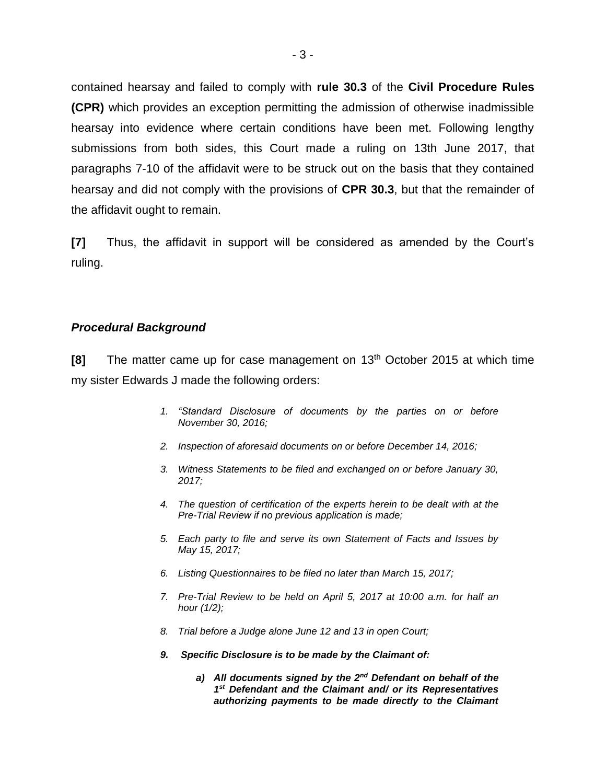contained hearsay and failed to comply with **rule 30.3** of the **Civil Procedure Rules (CPR)** which provides an exception permitting the admission of otherwise inadmissible hearsay into evidence where certain conditions have been met. Following lengthy submissions from both sides, this Court made a ruling on 13th June 2017, that paragraphs 7-10 of the affidavit were to be struck out on the basis that they contained hearsay and did not comply with the provisions of **CPR 30.3**, but that the remainder of the affidavit ought to remain.

**[7]** Thus, the affidavit in support will be considered as amended by the Court's ruling.

#### *Procedural Background*

**[8]** The matter came up for case management on 13<sup>th</sup> October 2015 at which time my sister Edwards J made the following orders:

- *1. "Standard Disclosure of documents by the parties on or before November 30, 2016;*
- *2. Inspection of aforesaid documents on or before December 14, 2016;*
- *3. Witness Statements to be filed and exchanged on or before January 30, 2017;*
- *4. The question of certification of the experts herein to be dealt with at the Pre-Trial Review if no previous application is made;*
- *5. Each party to file and serve its own Statement of Facts and Issues by May 15, 2017;*
- *6. Listing Questionnaires to be filed no later than March 15, 2017;*
- *7. Pre-Trial Review to be held on April 5, 2017 at 10:00 a.m. for half an hour (1/2);*
- *8. Trial before a Judge alone June 12 and 13 in open Court;*
- *9. Specific Disclosure is to be made by the Claimant of:*
	- *a) All documents signed by the 2nd Defendant on behalf of the 1 st Defendant and the Claimant and/ or its Representatives authorizing payments to be made directly to the Claimant*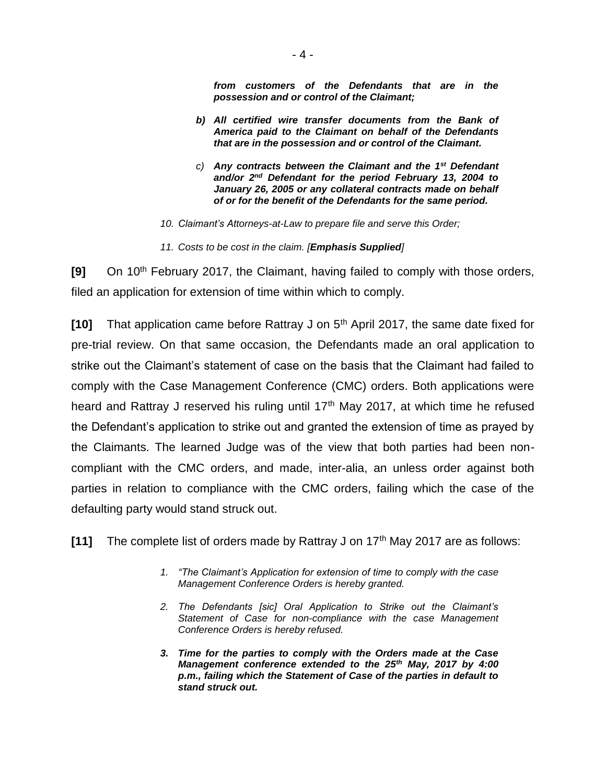*from customers of the Defendants that are in the possession and or control of the Claimant;*

- *b) All certified wire transfer documents from the Bank of America paid to the Claimant on behalf of the Defendants that are in the possession and or control of the Claimant.*
- *c) Any contracts between the Claimant and the 1st Defendant and/or 2nd Defendant for the period February 13, 2004 to January 26, 2005 or any collateral contracts made on behalf of or for the benefit of the Defendants for the same period.*
- *10. Claimant's Attorneys-at-Law to prepare file and serve this Order;*
- *11. Costs to be cost in the claim. [Emphasis Supplied]*

**[9]** On 10<sup>th</sup> February 2017, the Claimant, having failed to comply with those orders, filed an application for extension of time within which to comply.

**[10]** That application came before Rattray J on 5th April 2017, the same date fixed for pre-trial review. On that same occasion, the Defendants made an oral application to strike out the Claimant's statement of case on the basis that the Claimant had failed to comply with the Case Management Conference (CMC) orders. Both applications were heard and Rattray J reserved his ruling until 17<sup>th</sup> May 2017, at which time he refused the Defendant's application to strike out and granted the extension of time as prayed by the Claimants. The learned Judge was of the view that both parties had been noncompliant with the CMC orders, and made, inter-alia, an unless order against both parties in relation to compliance with the CMC orders, failing which the case of the defaulting party would stand struck out.

**[11]** The complete list of orders made by Rattray J on 17th May 2017 are as follows:

- *1. "The Claimant's Application for extension of time to comply with the case Management Conference Orders is hereby granted.*
- *2. The Defendants [sic] Oral Application to Strike out the Claimant's Statement of Case for non-compliance with the case Management Conference Orders is hereby refused.*
- *3. Time for the parties to comply with the Orders made at the Case Management conference extended to the 25th May, 2017 by 4:00 p.m., failing which the Statement of Case of the parties in default to stand struck out.*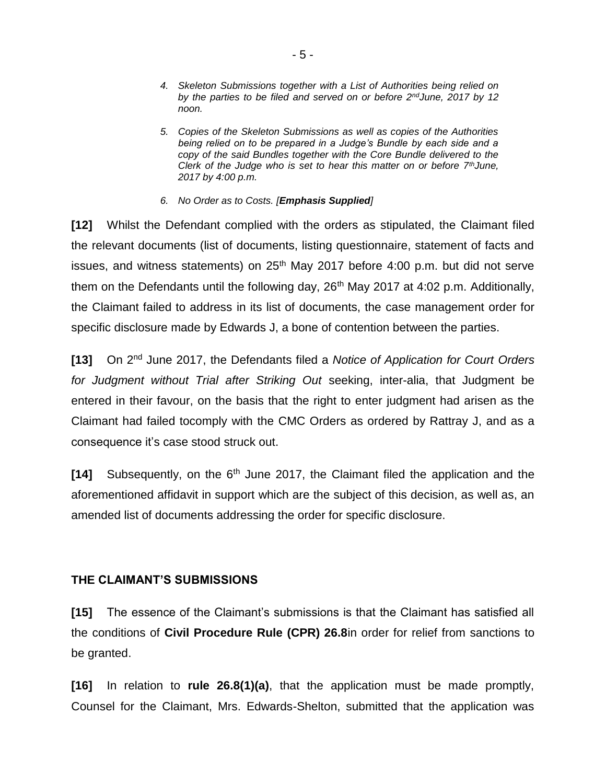- *4. Skeleton Submissions together with a List of Authorities being relied on by the parties to be filed and served on or before 2ndJune, 2017 by 12 noon.*
- *5. Copies of the Skeleton Submissions as well as copies of the Authorities being relied on to be prepared in a Judge's Bundle by each side and a copy of the said Bundles together with the Core Bundle delivered to the Clerk of the Judge who is set to hear this matter on or before 7thJune, 2017 by 4:00 p.m.*
- *6. No Order as to Costs. [Emphasis Supplied]*

**[12]** Whilst the Defendant complied with the orders as stipulated, the Claimant filed the relevant documents (list of documents, listing questionnaire, statement of facts and issues, and witness statements) on 25<sup>th</sup> May 2017 before 4:00 p.m. but did not serve them on the Defendants until the following day,  $26<sup>th</sup>$  May 2017 at 4:02 p.m. Additionally, the Claimant failed to address in its list of documents, the case management order for specific disclosure made by Edwards J, a bone of contention between the parties.

**[13]** On 2nd June 2017, the Defendants filed a *Notice of Application for Court Orders for Judgment without Trial after Striking Out* seeking, inter-alia, that Judgment be entered in their favour, on the basis that the right to enter judgment had arisen as the Claimant had failed tocomply with the CMC Orders as ordered by Rattray J, and as a consequence it's case stood struck out.

**[14]** Subsequently, on the 6<sup>th</sup> June 2017, the Claimant filed the application and the aforementioned affidavit in support which are the subject of this decision, as well as, an amended list of documents addressing the order for specific disclosure.

# **THE CLAIMANT'S SUBMISSIONS**

**[15]** The essence of the Claimant's submissions is that the Claimant has satisfied all the conditions of **Civil Procedure Rule (CPR) 26.8**in order for relief from sanctions to be granted.

**[16]** In relation to **rule 26.8(1)(a)**, that the application must be made promptly, Counsel for the Claimant, Mrs. Edwards-Shelton, submitted that the application was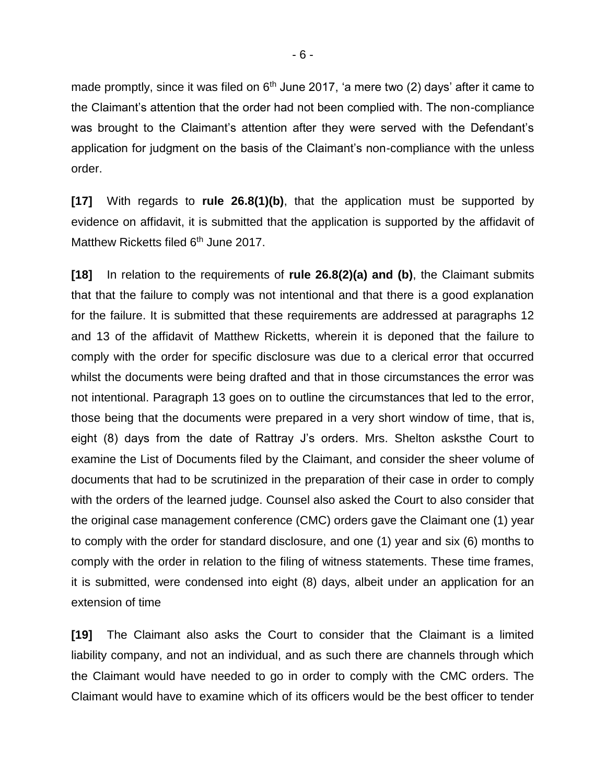made promptly, since it was filed on  $6<sup>th</sup>$  June 2017, 'a mere two (2) days' after it came to the Claimant's attention that the order had not been complied with. The non-compliance was brought to the Claimant's attention after they were served with the Defendant's application for judgment on the basis of the Claimant's non-compliance with the unless order.

**[17]** With regards to **rule 26.8(1)(b)**, that the application must be supported by evidence on affidavit, it is submitted that the application is supported by the affidavit of Matthew Ricketts filed  $6<sup>th</sup>$  June 2017.

**[18]** In relation to the requirements of **rule 26.8(2)(a) and (b)**, the Claimant submits that that the failure to comply was not intentional and that there is a good explanation for the failure. It is submitted that these requirements are addressed at paragraphs 12 and 13 of the affidavit of Matthew Ricketts, wherein it is deponed that the failure to comply with the order for specific disclosure was due to a clerical error that occurred whilst the documents were being drafted and that in those circumstances the error was not intentional. Paragraph 13 goes on to outline the circumstances that led to the error, those being that the documents were prepared in a very short window of time, that is, eight (8) days from the date of Rattray J's orders. Mrs. Shelton asksthe Court to examine the List of Documents filed by the Claimant, and consider the sheer volume of documents that had to be scrutinized in the preparation of their case in order to comply with the orders of the learned judge. Counsel also asked the Court to also consider that the original case management conference (CMC) orders gave the Claimant one (1) year to comply with the order for standard disclosure, and one (1) year and six (6) months to comply with the order in relation to the filing of witness statements. These time frames, it is submitted, were condensed into eight (8) days, albeit under an application for an extension of time

**[19]** The Claimant also asks the Court to consider that the Claimant is a limited liability company, and not an individual, and as such there are channels through which the Claimant would have needed to go in order to comply with the CMC orders. The Claimant would have to examine which of its officers would be the best officer to tender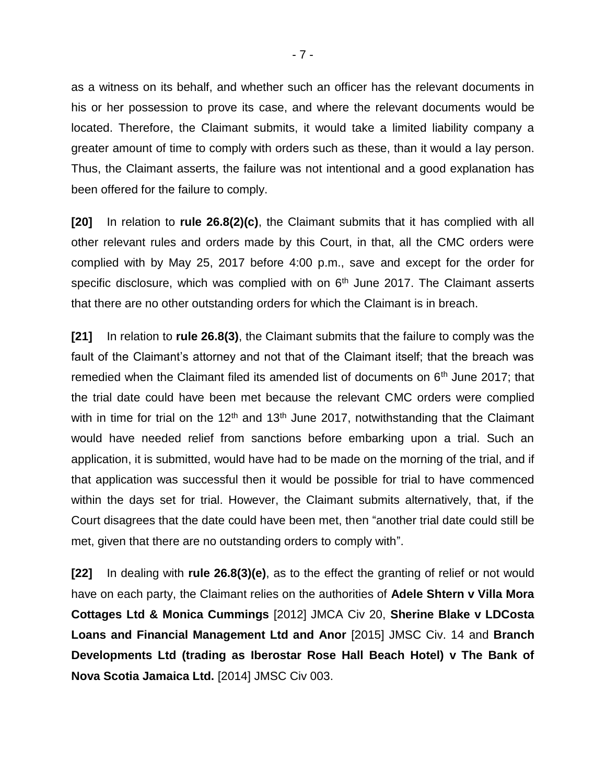as a witness on its behalf, and whether such an officer has the relevant documents in his or her possession to prove its case, and where the relevant documents would be located. Therefore, the Claimant submits, it would take a limited liability company a greater amount of time to comply with orders such as these, than it would a lay person. Thus, the Claimant asserts, the failure was not intentional and a good explanation has been offered for the failure to comply.

**[20]** In relation to **rule 26.8(2)(c)**, the Claimant submits that it has complied with all other relevant rules and orders made by this Court, in that, all the CMC orders were complied with by May 25, 2017 before 4:00 p.m., save and except for the order for specific disclosure, which was complied with on  $6<sup>th</sup>$  June 2017. The Claimant asserts that there are no other outstanding orders for which the Claimant is in breach.

**[21]** In relation to **rule 26.8(3)**, the Claimant submits that the failure to comply was the fault of the Claimant's attorney and not that of the Claimant itself; that the breach was remedied when the Claimant filed its amended list of documents on  $6<sup>th</sup>$  June 2017; that the trial date could have been met because the relevant CMC orders were complied with in time for trial on the  $12<sup>th</sup>$  and  $13<sup>th</sup>$  June 2017, notwithstanding that the Claimant would have needed relief from sanctions before embarking upon a trial. Such an application, it is submitted, would have had to be made on the morning of the trial, and if that application was successful then it would be possible for trial to have commenced within the days set for trial. However, the Claimant submits alternatively, that, if the Court disagrees that the date could have been met, then "another trial date could still be met, given that there are no outstanding orders to comply with".

**[22]** In dealing with **rule 26.8(3)(e)**, as to the effect the granting of relief or not would have on each party, the Claimant relies on the authorities of **Adele Shtern v Villa Mora Cottages Ltd & Monica Cummings** [2012] JMCA Civ 20, **Sherine Blake v LDCosta Loans and Financial Management Ltd and Anor** [2015] JMSC Civ. 14 and **Branch Developments Ltd (trading as Iberostar Rose Hall Beach Hotel) v The Bank of Nova Scotia Jamaica Ltd.** [2014] JMSC Civ 003.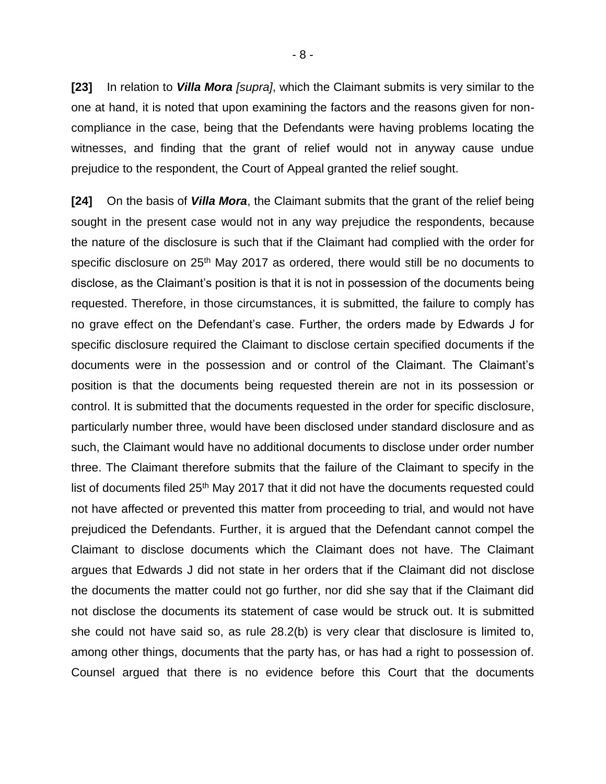**[23]** In relation to *Villa Mora [supra]*, which the Claimant submits is very similar to the one at hand, it is noted that upon examining the factors and the reasons given for noncompliance in the case, being that the Defendants were having problems locating the witnesses, and finding that the grant of relief would not in anyway cause undue prejudice to the respondent, the Court of Appeal granted the relief sought.

**[24]** On the basis of *Villa Mora*, the Claimant submits that the grant of the relief being sought in the present case would not in any way prejudice the respondents, because the nature of the disclosure is such that if the Claimant had complied with the order for specific disclosure on 25<sup>th</sup> May 2017 as ordered, there would still be no documents to disclose, as the Claimant's position is that it is not in possession of the documents being requested. Therefore, in those circumstances, it is submitted, the failure to comply has no grave effect on the Defendant's case. Further, the orders made by Edwards J for specific disclosure required the Claimant to disclose certain specified documents if the documents were in the possession and or control of the Claimant. The Claimant's position is that the documents being requested therein are not in its possession or control. It is submitted that the documents requested in the order for specific disclosure, particularly number three, would have been disclosed under standard disclosure and as such, the Claimant would have no additional documents to disclose under order number three. The Claimant therefore submits that the failure of the Claimant to specify in the list of documents filed 25<sup>th</sup> May 2017 that it did not have the documents requested could not have affected or prevented this matter from proceeding to trial, and would not have prejudiced the Defendants. Further, it is argued that the Defendant cannot compel the Claimant to disclose documents which the Claimant does not have. The Claimant argues that Edwards J did not state in her orders that if the Claimant did not disclose the documents the matter could not go further, nor did she say that if the Claimant did not disclose the documents its statement of case would be struck out. It is submitted she could not have said so, as rule 28.2(b) is very clear that disclosure is limited to, among other things, documents that the party has, or has had a right to possession of. Counsel argued that there is no evidence before this Court that the documents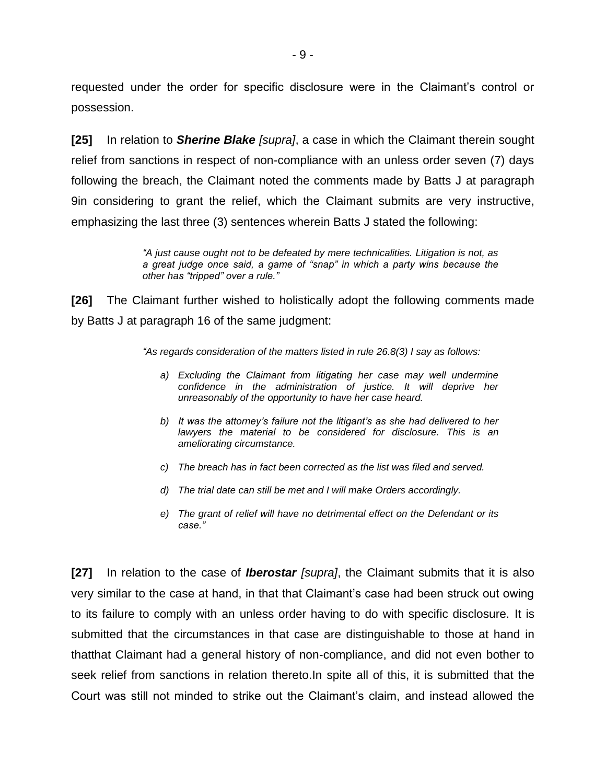requested under the order for specific disclosure were in the Claimant's control or possession.

**[25]** In relation to *Sherine Blake [supra]*, a case in which the Claimant therein sought relief from sanctions in respect of non-compliance with an unless order seven (7) days following the breach, the Claimant noted the comments made by Batts J at paragraph 9in considering to grant the relief, which the Claimant submits are very instructive, emphasizing the last three (3) sentences wherein Batts J stated the following:

> *"A just cause ought not to be defeated by mere technicalities. Litigation is not, as a great judge once said, a game of "snap" in which a party wins because the other has "tripped" over a rule."*

**[26]** The Claimant further wished to holistically adopt the following comments made by Batts J at paragraph 16 of the same judgment:

*"As regards consideration of the matters listed in rule 26.8(3) I say as follows:*

- *a) Excluding the Claimant from litigating her case may well undermine*  confidence in the administration of justice. It will deprive her *unreasonably of the opportunity to have her case heard.*
- *b) It was the attorney's failure not the litigant's as she had delivered to her lawyers the material to be considered for disclosure. This is an ameliorating circumstance.*
- *c) The breach has in fact been corrected as the list was filed and served.*
- *d) The trial date can still be met and I will make Orders accordingly.*
- *e) The grant of relief will have no detrimental effect on the Defendant or its case."*

**[27]** In relation to the case of *Iberostar [supra]*, the Claimant submits that it is also very similar to the case at hand, in that that Claimant's case had been struck out owing to its failure to comply with an unless order having to do with specific disclosure. It is submitted that the circumstances in that case are distinguishable to those at hand in thatthat Claimant had a general history of non-compliance, and did not even bother to seek relief from sanctions in relation thereto.In spite all of this, it is submitted that the Court was still not minded to strike out the Claimant's claim, and instead allowed the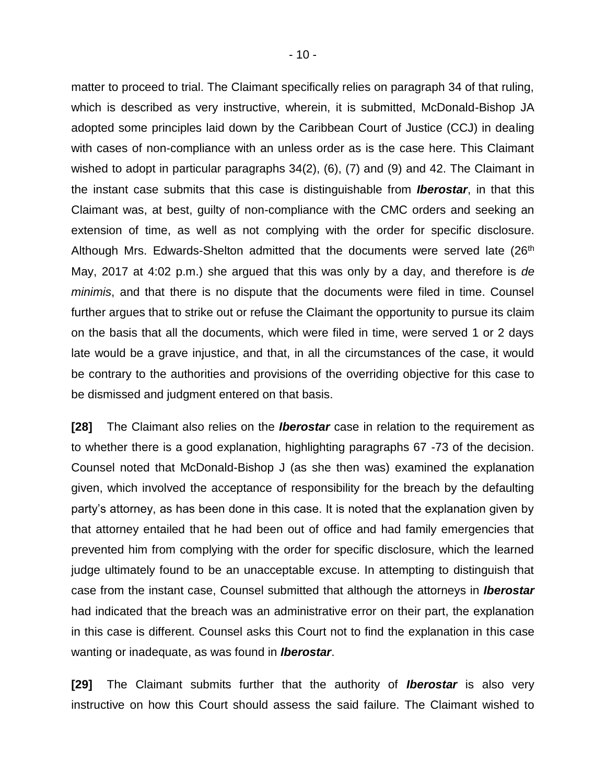matter to proceed to trial. The Claimant specifically relies on paragraph 34 of that ruling, which is described as very instructive, wherein, it is submitted, McDonald-Bishop JA adopted some principles laid down by the Caribbean Court of Justice (CCJ) in dealing with cases of non-compliance with an unless order as is the case here. This Claimant wished to adopt in particular paragraphs 34(2), (6), (7) and (9) and 42. The Claimant in the instant case submits that this case is distinguishable from *Iberostar*, in that this Claimant was, at best, guilty of non-compliance with the CMC orders and seeking an extension of time, as well as not complying with the order for specific disclosure. Although Mrs. Edwards-Shelton admitted that the documents were served late (26<sup>th</sup>) May, 2017 at 4:02 p.m.) she argued that this was only by a day, and therefore is *de minimis*, and that there is no dispute that the documents were filed in time. Counsel further argues that to strike out or refuse the Claimant the opportunity to pursue its claim on the basis that all the documents, which were filed in time, were served 1 or 2 days late would be a grave injustice, and that, in all the circumstances of the case, it would be contrary to the authorities and provisions of the overriding objective for this case to be dismissed and judgment entered on that basis.

**[28]** The Claimant also relies on the *Iberostar* case in relation to the requirement as to whether there is a good explanation, highlighting paragraphs 67 -73 of the decision. Counsel noted that McDonald-Bishop J (as she then was) examined the explanation given, which involved the acceptance of responsibility for the breach by the defaulting party's attorney, as has been done in this case. It is noted that the explanation given by that attorney entailed that he had been out of office and had family emergencies that prevented him from complying with the order for specific disclosure, which the learned judge ultimately found to be an unacceptable excuse. In attempting to distinguish that case from the instant case, Counsel submitted that although the attorneys in *Iberostar* had indicated that the breach was an administrative error on their part, the explanation in this case is different. Counsel asks this Court not to find the explanation in this case wanting or inadequate, as was found in *Iberostar*.

**[29]** The Claimant submits further that the authority of *Iberostar* is also very instructive on how this Court should assess the said failure. The Claimant wished to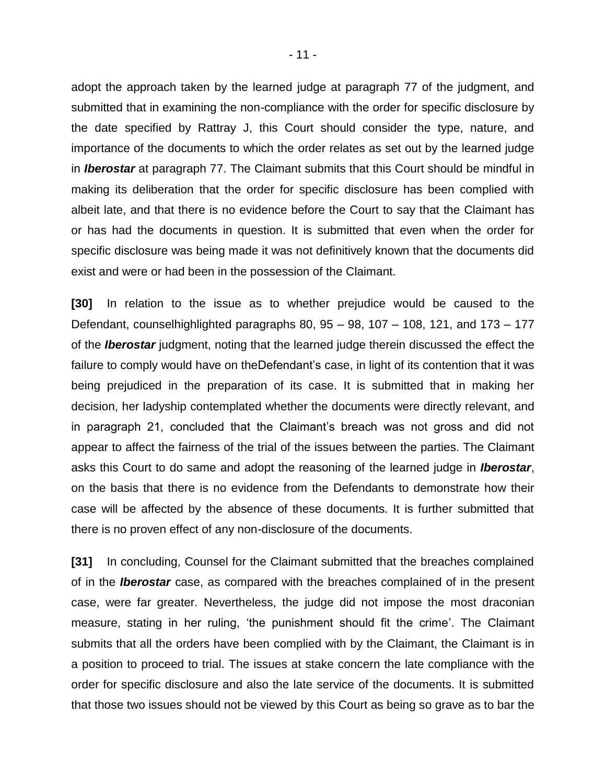adopt the approach taken by the learned judge at paragraph 77 of the judgment, and submitted that in examining the non-compliance with the order for specific disclosure by the date specified by Rattray J, this Court should consider the type, nature, and importance of the documents to which the order relates as set out by the learned judge in *Iberostar* at paragraph 77. The Claimant submits that this Court should be mindful in making its deliberation that the order for specific disclosure has been complied with albeit late, and that there is no evidence before the Court to say that the Claimant has or has had the documents in question. It is submitted that even when the order for specific disclosure was being made it was not definitively known that the documents did exist and were or had been in the possession of the Claimant.

**[30]** In relation to the issue as to whether prejudice would be caused to the Defendant, counselhighlighted paragraphs 80, 95 – 98, 107 – 108, 121, and 173 – 177 of the *Iberostar* judgment, noting that the learned judge therein discussed the effect the failure to comply would have on theDefendant's case, in light of its contention that it was being prejudiced in the preparation of its case. It is submitted that in making her decision, her ladyship contemplated whether the documents were directly relevant, and in paragraph 21, concluded that the Claimant's breach was not gross and did not appear to affect the fairness of the trial of the issues between the parties. The Claimant asks this Court to do same and adopt the reasoning of the learned judge in *Iberostar*, on the basis that there is no evidence from the Defendants to demonstrate how their case will be affected by the absence of these documents. It is further submitted that there is no proven effect of any non-disclosure of the documents.

**[31]** In concluding, Counsel for the Claimant submitted that the breaches complained of in the *Iberostar* case, as compared with the breaches complained of in the present case, were far greater. Nevertheless, the judge did not impose the most draconian measure, stating in her ruling, 'the punishment should fit the crime'. The Claimant submits that all the orders have been complied with by the Claimant, the Claimant is in a position to proceed to trial. The issues at stake concern the late compliance with the order for specific disclosure and also the late service of the documents. It is submitted that those two issues should not be viewed by this Court as being so grave as to bar the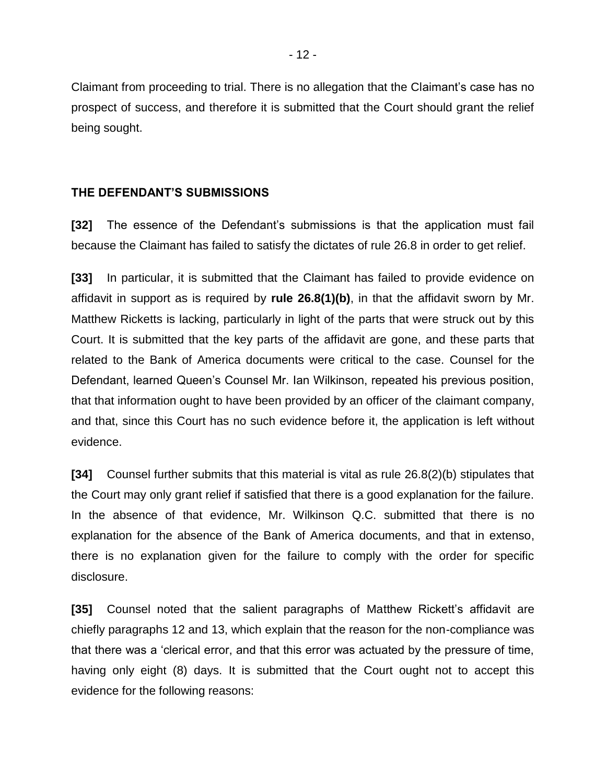Claimant from proceeding to trial. There is no allegation that the Claimant's case has no prospect of success, and therefore it is submitted that the Court should grant the relief being sought.

# **THE DEFENDANT'S SUBMISSIONS**

**[32]** The essence of the Defendant's submissions is that the application must fail because the Claimant has failed to satisfy the dictates of rule 26.8 in order to get relief.

**[33]** In particular, it is submitted that the Claimant has failed to provide evidence on affidavit in support as is required by **rule 26.8(1)(b)**, in that the affidavit sworn by Mr. Matthew Ricketts is lacking, particularly in light of the parts that were struck out by this Court. It is submitted that the key parts of the affidavit are gone, and these parts that related to the Bank of America documents were critical to the case. Counsel for the Defendant, learned Queen's Counsel Mr. Ian Wilkinson, repeated his previous position, that that information ought to have been provided by an officer of the claimant company, and that, since this Court has no such evidence before it, the application is left without evidence.

**[34]** Counsel further submits that this material is vital as rule 26.8(2)(b) stipulates that the Court may only grant relief if satisfied that there is a good explanation for the failure. In the absence of that evidence, Mr. Wilkinson Q.C. submitted that there is no explanation for the absence of the Bank of America documents, and that in extenso, there is no explanation given for the failure to comply with the order for specific disclosure.

**[35]** Counsel noted that the salient paragraphs of Matthew Rickett's affidavit are chiefly paragraphs 12 and 13, which explain that the reason for the non-compliance was that there was a 'clerical error, and that this error was actuated by the pressure of time, having only eight (8) days. It is submitted that the Court ought not to accept this evidence for the following reasons: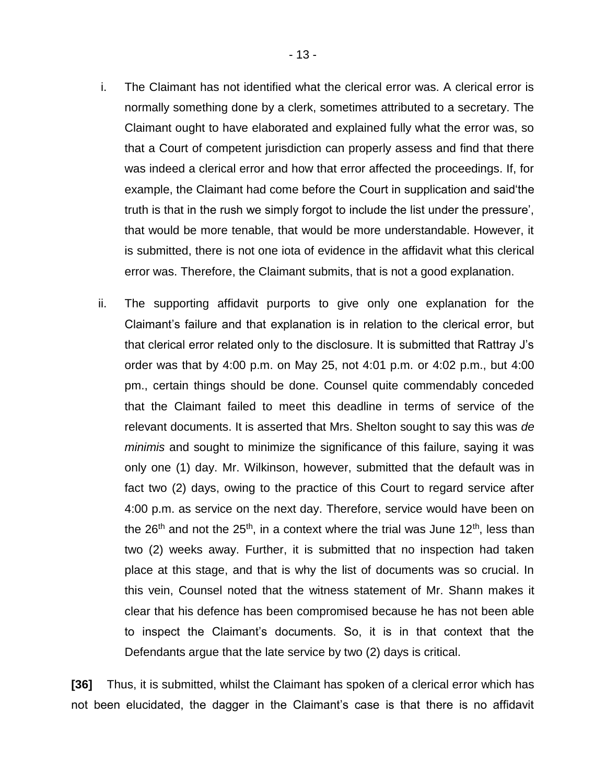i. The Claimant has not identified what the clerical error was. A clerical error is normally something done by a clerk, sometimes attributed to a secretary. The Claimant ought to have elaborated and explained fully what the error was, so that a Court of competent jurisdiction can properly assess and find that there was indeed a clerical error and how that error affected the proceedings. If, for example, the Claimant had come before the Court in supplication and said'the truth is that in the rush we simply forgot to include the list under the pressure', that would be more tenable, that would be more understandable. However, it is submitted, there is not one iota of evidence in the affidavit what this clerical

error was. Therefore, the Claimant submits, that is not a good explanation.

ii. The supporting affidavit purports to give only one explanation for the Claimant's failure and that explanation is in relation to the clerical error, but that clerical error related only to the disclosure. It is submitted that Rattray J's order was that by 4:00 p.m. on May 25, not 4:01 p.m. or 4:02 p.m., but 4:00 pm., certain things should be done. Counsel quite commendably conceded that the Claimant failed to meet this deadline in terms of service of the relevant documents. It is asserted that Mrs. Shelton sought to say this was *de minimis* and sought to minimize the significance of this failure, saying it was only one (1) day. Mr. Wilkinson, however, submitted that the default was in fact two (2) days, owing to the practice of this Court to regard service after 4:00 p.m. as service on the next day. Therefore, service would have been on the 26<sup>th</sup> and not the 25<sup>th</sup>, in a context where the trial was June 12<sup>th</sup>, less than two (2) weeks away. Further, it is submitted that no inspection had taken place at this stage, and that is why the list of documents was so crucial. In this vein, Counsel noted that the witness statement of Mr. Shann makes it clear that his defence has been compromised because he has not been able to inspect the Claimant's documents. So, it is in that context that the Defendants argue that the late service by two (2) days is critical.

**[36]** Thus, it is submitted, whilst the Claimant has spoken of a clerical error which has not been elucidated, the dagger in the Claimant's case is that there is no affidavit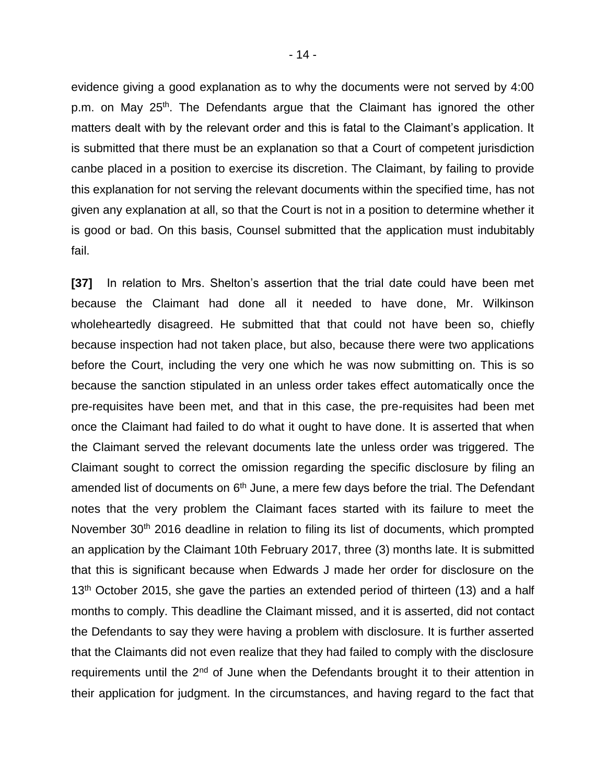evidence giving a good explanation as to why the documents were not served by 4:00 p.m. on May 25<sup>th</sup>. The Defendants argue that the Claimant has ignored the other matters dealt with by the relevant order and this is fatal to the Claimant's application. It is submitted that there must be an explanation so that a Court of competent jurisdiction canbe placed in a position to exercise its discretion. The Claimant, by failing to provide this explanation for not serving the relevant documents within the specified time, has not given any explanation at all, so that the Court is not in a position to determine whether it is good or bad. On this basis, Counsel submitted that the application must indubitably fail.

**[37]** In relation to Mrs. Shelton's assertion that the trial date could have been met because the Claimant had done all it needed to have done, Mr. Wilkinson wholeheartedly disagreed. He submitted that that could not have been so, chiefly because inspection had not taken place, but also, because there were two applications before the Court, including the very one which he was now submitting on. This is so because the sanction stipulated in an unless order takes effect automatically once the pre-requisites have been met, and that in this case, the pre-requisites had been met once the Claimant had failed to do what it ought to have done. It is asserted that when the Claimant served the relevant documents late the unless order was triggered. The Claimant sought to correct the omission regarding the specific disclosure by filing an amended list of documents on  $6<sup>th</sup>$  June, a mere few days before the trial. The Defendant notes that the very problem the Claimant faces started with its failure to meet the November 30<sup>th</sup> 2016 deadline in relation to filing its list of documents, which prompted an application by the Claimant 10th February 2017, three (3) months late. It is submitted that this is significant because when Edwards J made her order for disclosure on the  $13<sup>th</sup>$  October 2015, she gave the parties an extended period of thirteen (13) and a half months to comply. This deadline the Claimant missed, and it is asserted, did not contact the Defendants to say they were having a problem with disclosure. It is further asserted that the Claimants did not even realize that they had failed to comply with the disclosure requirements until the 2<sup>nd</sup> of June when the Defendants brought it to their attention in their application for judgment. In the circumstances, and having regard to the fact that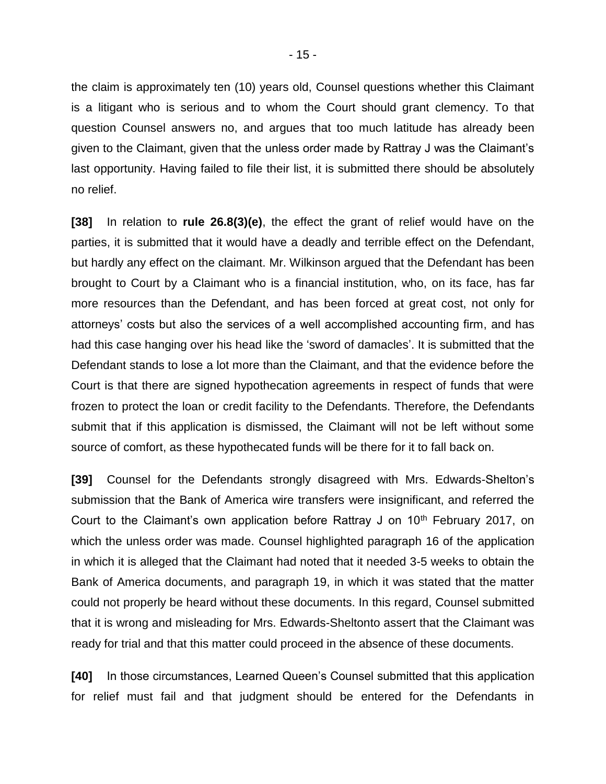the claim is approximately ten (10) years old, Counsel questions whether this Claimant is a litigant who is serious and to whom the Court should grant clemency. To that question Counsel answers no, and argues that too much latitude has already been given to the Claimant, given that the unless order made by Rattray J was the Claimant's last opportunity. Having failed to file their list, it is submitted there should be absolutely no relief.

**[38]** In relation to **rule 26.8(3)(e)**, the effect the grant of relief would have on the parties, it is submitted that it would have a deadly and terrible effect on the Defendant, but hardly any effect on the claimant. Mr. Wilkinson argued that the Defendant has been brought to Court by a Claimant who is a financial institution, who, on its face, has far more resources than the Defendant, and has been forced at great cost, not only for attorneys' costs but also the services of a well accomplished accounting firm, and has had this case hanging over his head like the 'sword of damacles'. It is submitted that the Defendant stands to lose a lot more than the Claimant, and that the evidence before the Court is that there are signed hypothecation agreements in respect of funds that were frozen to protect the loan or credit facility to the Defendants. Therefore, the Defendants submit that if this application is dismissed, the Claimant will not be left without some source of comfort, as these hypothecated funds will be there for it to fall back on.

**[39]** Counsel for the Defendants strongly disagreed with Mrs. Edwards-Shelton's submission that the Bank of America wire transfers were insignificant, and referred the Court to the Claimant's own application before Rattray J on 10<sup>th</sup> February 2017, on which the unless order was made. Counsel highlighted paragraph 16 of the application in which it is alleged that the Claimant had noted that it needed 3-5 weeks to obtain the Bank of America documents, and paragraph 19, in which it was stated that the matter could not properly be heard without these documents. In this regard, Counsel submitted that it is wrong and misleading for Mrs. Edwards-Sheltonto assert that the Claimant was ready for trial and that this matter could proceed in the absence of these documents.

**[40]** In those circumstances, Learned Queen's Counsel submitted that this application for relief must fail and that judgment should be entered for the Defendants in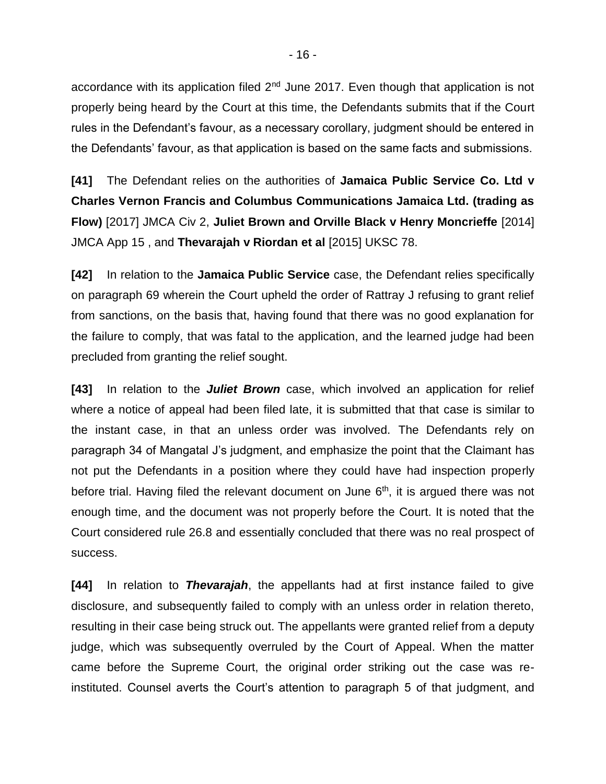accordance with its application filed 2<sup>nd</sup> June 2017. Even though that application is not properly being heard by the Court at this time, the Defendants submits that if the Court rules in the Defendant's favour, as a necessary corollary, judgment should be entered in the Defendants' favour, as that application is based on the same facts and submissions.

**[41]** The Defendant relies on the authorities of **Jamaica Public Service Co. Ltd v Charles Vernon Francis and Columbus Communications Jamaica Ltd. (trading as Flow)** [2017] JMCA Civ 2, **Juliet Brown and Orville Black v Henry Moncrieffe** [2014] JMCA App 15 , and **Thevarajah v Riordan et al** [2015] UKSC 78.

**[42]** In relation to the **Jamaica Public Service** case, the Defendant relies specifically on paragraph 69 wherein the Court upheld the order of Rattray J refusing to grant relief from sanctions, on the basis that, having found that there was no good explanation for the failure to comply, that was fatal to the application, and the learned judge had been precluded from granting the relief sought.

**[43]** In relation to the *Juliet Brown* case, which involved an application for relief where a notice of appeal had been filed late, it is submitted that that case is similar to the instant case, in that an unless order was involved. The Defendants rely on paragraph 34 of Mangatal J's judgment, and emphasize the point that the Claimant has not put the Defendants in a position where they could have had inspection properly before trial. Having filed the relevant document on June 6<sup>th</sup>, it is argued there was not enough time, and the document was not properly before the Court. It is noted that the Court considered rule 26.8 and essentially concluded that there was no real prospect of success.

**[44]** In relation to *Thevarajah*, the appellants had at first instance failed to give disclosure, and subsequently failed to comply with an unless order in relation thereto, resulting in their case being struck out. The appellants were granted relief from a deputy judge, which was subsequently overruled by the Court of Appeal. When the matter came before the Supreme Court, the original order striking out the case was reinstituted. Counsel averts the Court's attention to paragraph 5 of that judgment, and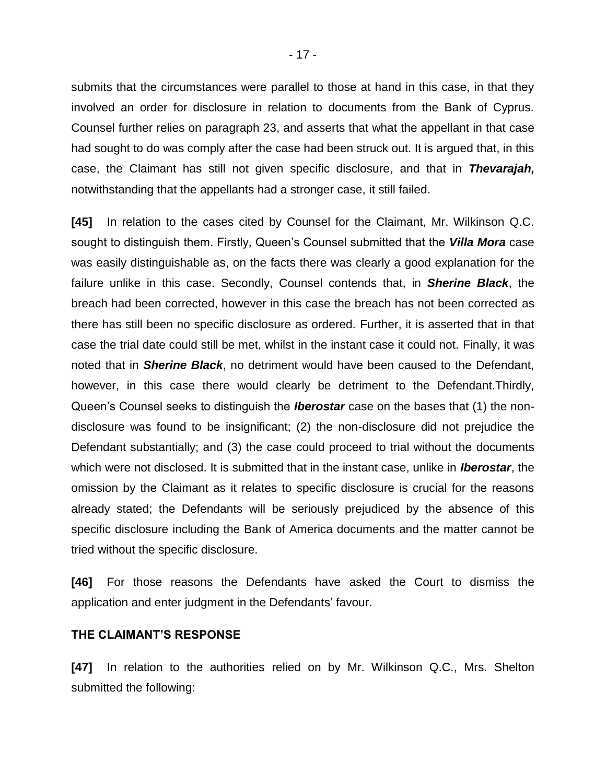submits that the circumstances were parallel to those at hand in this case, in that they involved an order for disclosure in relation to documents from the Bank of Cyprus. Counsel further relies on paragraph 23, and asserts that what the appellant in that case had sought to do was comply after the case had been struck out. It is argued that, in this case, the Claimant has still not given specific disclosure, and that in *Thevarajah,* notwithstanding that the appellants had a stronger case, it still failed.

**[45]** In relation to the cases cited by Counsel for the Claimant, Mr. Wilkinson Q.C. sought to distinguish them. Firstly, Queen's Counsel submitted that the *Villa Mora* case was easily distinguishable as, on the facts there was clearly a good explanation for the failure unlike in this case. Secondly, Counsel contends that, in *Sherine Black*, the breach had been corrected, however in this case the breach has not been corrected as there has still been no specific disclosure as ordered. Further, it is asserted that in that case the trial date could still be met, whilst in the instant case it could not. Finally, it was noted that in *Sherine Black*, no detriment would have been caused to the Defendant, however, in this case there would clearly be detriment to the Defendant.Thirdly, Queen's Counsel seeks to distinguish the *Iberostar* case on the bases that (1) the nondisclosure was found to be insignificant; (2) the non-disclosure did not prejudice the Defendant substantially; and (3) the case could proceed to trial without the documents which were not disclosed. It is submitted that in the instant case, unlike in *Iberostar*, the omission by the Claimant as it relates to specific disclosure is crucial for the reasons already stated; the Defendants will be seriously prejudiced by the absence of this specific disclosure including the Bank of America documents and the matter cannot be tried without the specific disclosure.

**[46]** For those reasons the Defendants have asked the Court to dismiss the application and enter judgment in the Defendants' favour.

#### **THE CLAIMANT'S RESPONSE**

**[47]** In relation to the authorities relied on by Mr. Wilkinson Q.C., Mrs. Shelton submitted the following: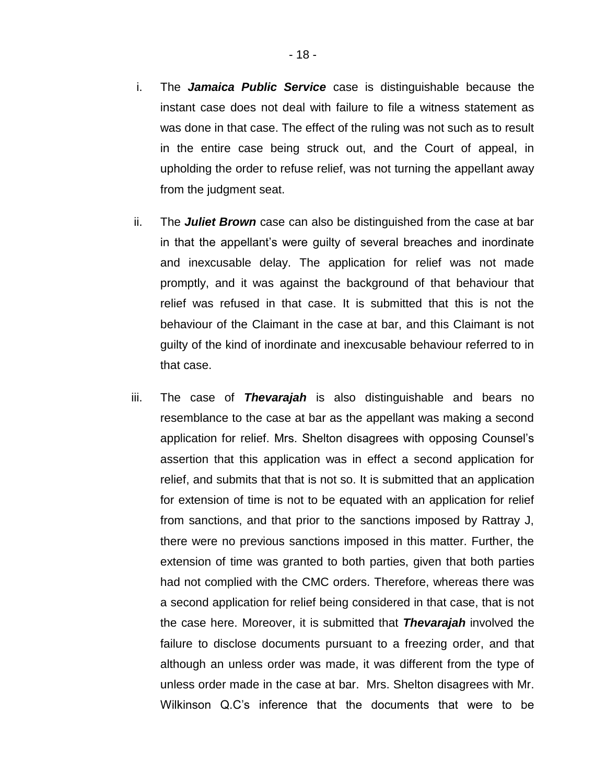- i. The *Jamaica Public Service* case is distinguishable because the instant case does not deal with failure to file a witness statement as was done in that case. The effect of the ruling was not such as to result in the entire case being struck out, and the Court of appeal, in upholding the order to refuse relief, was not turning the appellant away from the judgment seat.
- ii. The *Juliet Brown* case can also be distinguished from the case at bar in that the appellant's were guilty of several breaches and inordinate and inexcusable delay. The application for relief was not made promptly, and it was against the background of that behaviour that relief was refused in that case. It is submitted that this is not the behaviour of the Claimant in the case at bar, and this Claimant is not guilty of the kind of inordinate and inexcusable behaviour referred to in that case.
- iii. The case of *Thevarajah* is also distinguishable and bears no resemblance to the case at bar as the appellant was making a second application for relief. Mrs. Shelton disagrees with opposing Counsel's assertion that this application was in effect a second application for relief, and submits that that is not so. It is submitted that an application for extension of time is not to be equated with an application for relief from sanctions, and that prior to the sanctions imposed by Rattray J, there were no previous sanctions imposed in this matter. Further, the extension of time was granted to both parties, given that both parties had not complied with the CMC orders. Therefore, whereas there was a second application for relief being considered in that case, that is not the case here. Moreover, it is submitted that *Thevarajah* involved the failure to disclose documents pursuant to a freezing order, and that although an unless order was made, it was different from the type of unless order made in the case at bar. Mrs. Shelton disagrees with Mr. Wilkinson Q.C's inference that the documents that were to be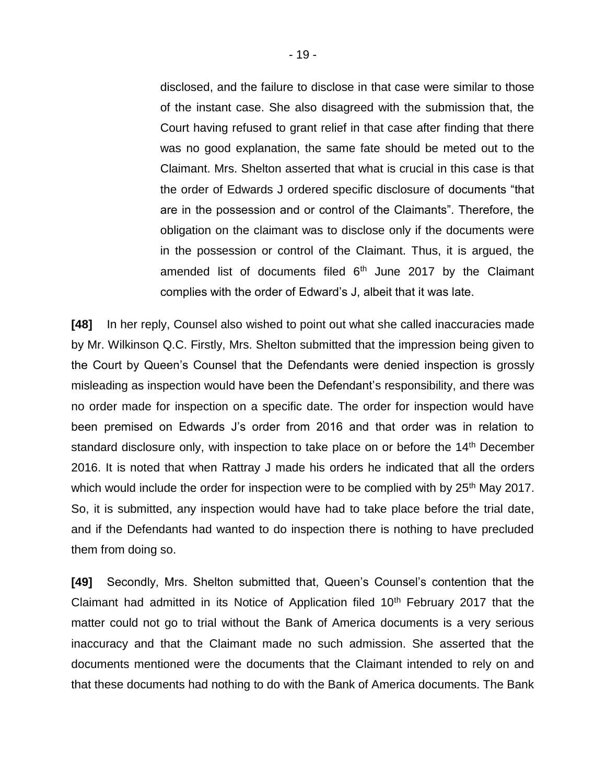disclosed, and the failure to disclose in that case were similar to those of the instant case. She also disagreed with the submission that, the Court having refused to grant relief in that case after finding that there was no good explanation, the same fate should be meted out to the Claimant. Mrs. Shelton asserted that what is crucial in this case is that the order of Edwards J ordered specific disclosure of documents "that are in the possession and or control of the Claimants". Therefore, the obligation on the claimant was to disclose only if the documents were in the possession or control of the Claimant. Thus, it is argued, the amended list of documents filed  $6<sup>th</sup>$  June 2017 by the Claimant complies with the order of Edward's J, albeit that it was late.

**[48]** In her reply, Counsel also wished to point out what she called inaccuracies made by Mr. Wilkinson Q.C. Firstly, Mrs. Shelton submitted that the impression being given to the Court by Queen's Counsel that the Defendants were denied inspection is grossly misleading as inspection would have been the Defendant's responsibility, and there was no order made for inspection on a specific date. The order for inspection would have been premised on Edwards J's order from 2016 and that order was in relation to standard disclosure only, with inspection to take place on or before the 14<sup>th</sup> December 2016. It is noted that when Rattray J made his orders he indicated that all the orders which would include the order for inspection were to be complied with by 25<sup>th</sup> May 2017. So, it is submitted, any inspection would have had to take place before the trial date, and if the Defendants had wanted to do inspection there is nothing to have precluded them from doing so.

**[49]** Secondly, Mrs. Shelton submitted that, Queen's Counsel's contention that the Claimant had admitted in its Notice of Application filed  $10<sup>th</sup>$  February 2017 that the matter could not go to trial without the Bank of America documents is a very serious inaccuracy and that the Claimant made no such admission. She asserted that the documents mentioned were the documents that the Claimant intended to rely on and that these documents had nothing to do with the Bank of America documents. The Bank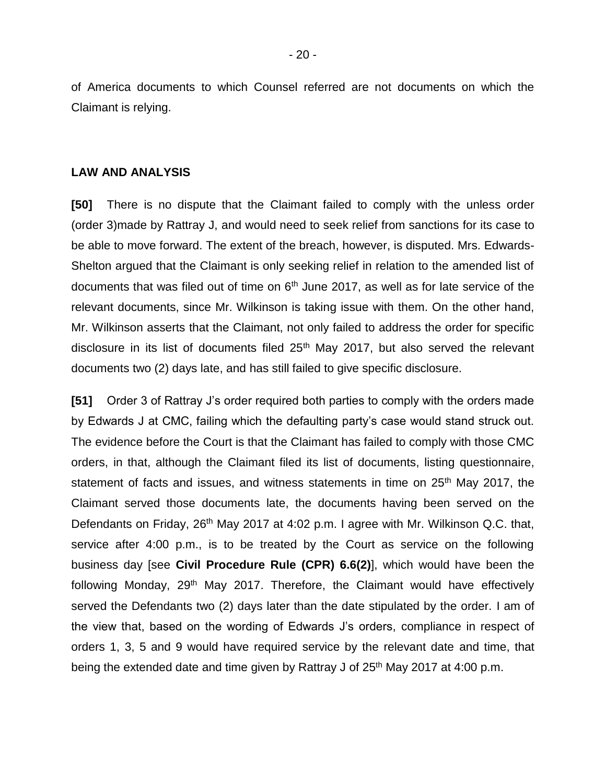of America documents to which Counsel referred are not documents on which the Claimant is relying.

#### **LAW AND ANALYSIS**

**[50]** There is no dispute that the Claimant failed to comply with the unless order (order 3)made by Rattray J, and would need to seek relief from sanctions for its case to be able to move forward. The extent of the breach, however, is disputed. Mrs. Edwards-Shelton argued that the Claimant is only seeking relief in relation to the amended list of documents that was filed out of time on  $6<sup>th</sup>$  June 2017, as well as for late service of the relevant documents, since Mr. Wilkinson is taking issue with them. On the other hand, Mr. Wilkinson asserts that the Claimant, not only failed to address the order for specific disclosure in its list of documents filed 25<sup>th</sup> May 2017, but also served the relevant documents two (2) days late, and has still failed to give specific disclosure.

**[51]** Order 3 of Rattray J's order required both parties to comply with the orders made by Edwards J at CMC, failing which the defaulting party's case would stand struck out. The evidence before the Court is that the Claimant has failed to comply with those CMC orders, in that, although the Claimant filed its list of documents, listing questionnaire, statement of facts and issues, and witness statements in time on 25<sup>th</sup> May 2017, the Claimant served those documents late, the documents having been served on the Defendants on Friday, 26<sup>th</sup> May 2017 at 4:02 p.m. I agree with Mr. Wilkinson Q.C. that, service after 4:00 p.m., is to be treated by the Court as service on the following business day [see **Civil Procedure Rule (CPR) 6.6(2)**], which would have been the following Monday, 29<sup>th</sup> May 2017. Therefore, the Claimant would have effectively served the Defendants two (2) days later than the date stipulated by the order. I am of the view that, based on the wording of Edwards J's orders, compliance in respect of orders 1, 3, 5 and 9 would have required service by the relevant date and time, that being the extended date and time given by Rattray J of 25<sup>th</sup> May 2017 at 4:00 p.m.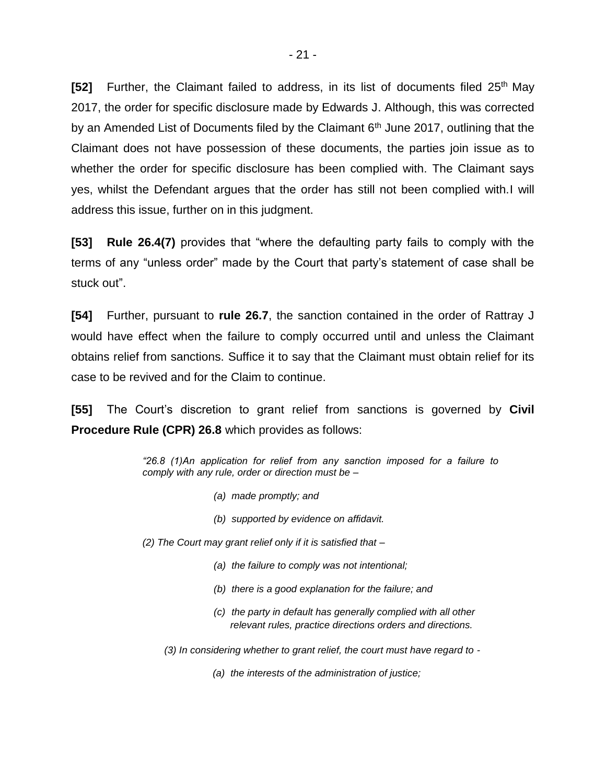**[52]** Further, the Claimant failed to address, in its list of documents filed 25<sup>th</sup> May 2017, the order for specific disclosure made by Edwards J. Although, this was corrected by an Amended List of Documents filed by the Claimant  $6<sup>th</sup>$  June 2017, outlining that the Claimant does not have possession of these documents, the parties join issue as to whether the order for specific disclosure has been complied with. The Claimant says yes, whilst the Defendant argues that the order has still not been complied with.I will address this issue, further on in this judgment.

**[53] Rule 26.4(7)** provides that "where the defaulting party fails to comply with the terms of any "unless order" made by the Court that party's statement of case shall be stuck out".

**[54]** Further, pursuant to **rule 26.7**, the sanction contained in the order of Rattray J would have effect when the failure to comply occurred until and unless the Claimant obtains relief from sanctions. Suffice it to say that the Claimant must obtain relief for its case to be revived and for the Claim to continue.

**[55]** The Court's discretion to grant relief from sanctions is governed by **Civil Procedure Rule (CPR) 26.8** which provides as follows:

> *"26.8 (1)An application for relief from any sanction imposed for a failure to comply with any rule, order or direction must be –*

- *(a) made promptly; and*
- *(b) supported by evidence on affidavit.*
- *(2) The Court may grant relief only if it is satisfied that –*
	- *(a) the failure to comply was not intentional;*
	- *(b) there is a good explanation for the failure; and*
	- *(c) the party in default has generally complied with all other relevant rules, practice directions orders and directions.*
	- *(3) In considering whether to grant relief, the court must have regard to -*
		- *(a) the interests of the administration of justice;*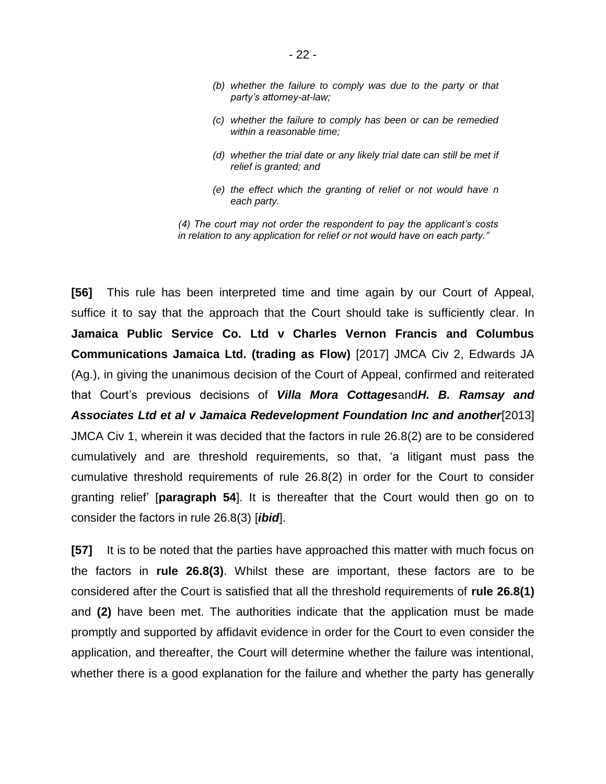- *(b) whether the failure to comply was due to the party or that party's attorney-at-law;*
- *(c) whether the failure to comply has been or can be remedied within a reasonable time;*
- *(d) whether the trial date or any likely trial date can still be met if relief is granted; and*
- *(e) the effect which the granting of relief or not would have n each party.*

*(4) The court may not order the respondent to pay the applicant's costs in relation to any application for relief or not would have on each party."*

**[56]** This rule has been interpreted time and time again by our Court of Appeal, suffice it to say that the approach that the Court should take is sufficiently clear. In **Jamaica Public Service Co. Ltd v Charles Vernon Francis and Columbus Communications Jamaica Ltd. (trading as Flow)** [2017] JMCA Civ 2, Edwards JA (Ag.), in giving the unanimous decision of the Court of Appeal, confirmed and reiterated that Court's previous decisions of *Villa Mora Cottages*and*H. B. Ramsay and Associates Ltd et al v Jamaica Redevelopment Foundation Inc and another*[2013] JMCA Civ 1, wherein it was decided that the factors in rule 26.8(2) are to be considered cumulatively and are threshold requirements, so that, 'a litigant must pass the cumulative threshold requirements of rule 26.8(2) in order for the Court to consider granting relief' [**paragraph 54**]. It is thereafter that the Court would then go on to consider the factors in rule 26.8(3) [*ibid*].

**[57]** It is to be noted that the parties have approached this matter with much focus on the factors in **rule 26.8(3)**. Whilst these are important, these factors are to be considered after the Court is satisfied that all the threshold requirements of **rule 26.8(1)**  and **(2)** have been met. The authorities indicate that the application must be made promptly and supported by affidavit evidence in order for the Court to even consider the application, and thereafter, the Court will determine whether the failure was intentional, whether there is a good explanation for the failure and whether the party has generally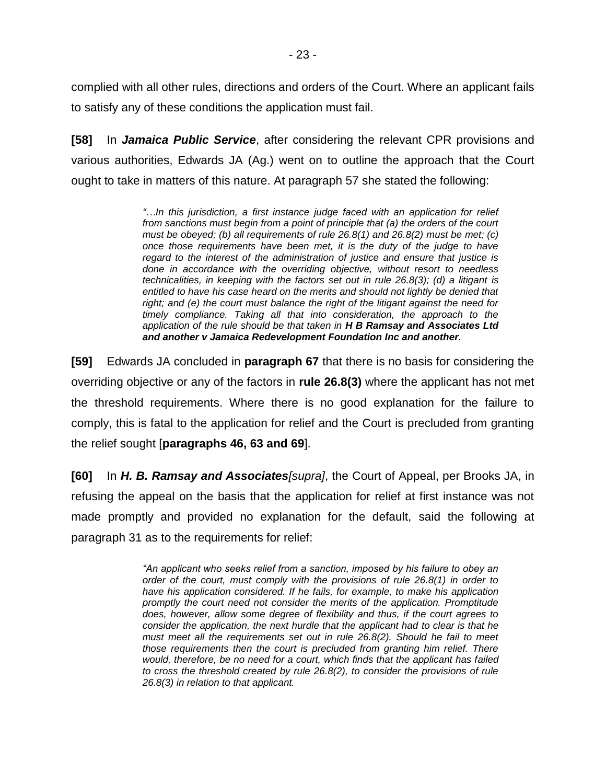complied with all other rules, directions and orders of the Court. Where an applicant fails to satisfy any of these conditions the application must fail.

**[58]** In *Jamaica Public Service*, after considering the relevant CPR provisions and various authorities, Edwards JA (Ag.) went on to outline the approach that the Court ought to take in matters of this nature. At paragraph 57 she stated the following:

> *"…In this jurisdiction, a first instance judge faced with an application for relief from sanctions must begin from a point of principle that (a) the orders of the court must be obeyed; (b) all requirements of rule 26.8(1) and 26.8(2) must be met; (c) once those requirements have been met, it is the duty of the judge to have regard to the interest of the administration of justice and ensure that justice is done in accordance with the overriding objective, without resort to needless technicalities, in keeping with the factors set out in rule 26.8(3); (d) a litigant is entitled to have his case heard on the merits and should not lightly be denied that right; and (e) the court must balance the right of the litigant against the need for timely compliance. Taking all that into consideration, the approach to the application of the rule should be that taken in H B Ramsay and Associates Ltd and another v Jamaica Redevelopment Foundation Inc and another.*

**[59]** Edwards JA concluded in **paragraph 67** that there is no basis for considering the overriding objective or any of the factors in **rule 26.8(3)** where the applicant has not met the threshold requirements. Where there is no good explanation for the failure to comply, this is fatal to the application for relief and the Court is precluded from granting the relief sought [**paragraphs 46, 63 and 69**].

**[60]** In *H. B. Ramsay and Associates[supra]*, the Court of Appeal, per Brooks JA, in refusing the appeal on the basis that the application for relief at first instance was not made promptly and provided no explanation for the default, said the following at paragraph 31 as to the requirements for relief:

> *"An applicant who seeks relief from a sanction, imposed by his failure to obey an order of the court, must comply with the provisions of rule 26.8(1) in order to have his application considered. If he fails, for example, to make his application promptly the court need not consider the merits of the application. Promptitude does, however, allow some degree of flexibility and thus, if the court agrees to consider the application, the next hurdle that the applicant had to clear is that he must meet all the requirements set out in rule 26.8(2). Should he fail to meet those requirements then the court is precluded from granting him relief. There would, therefore, be no need for a court, which finds that the applicant has failed to cross the threshold created by rule 26.8(2), to consider the provisions of rule 26.8(3) in relation to that applicant.*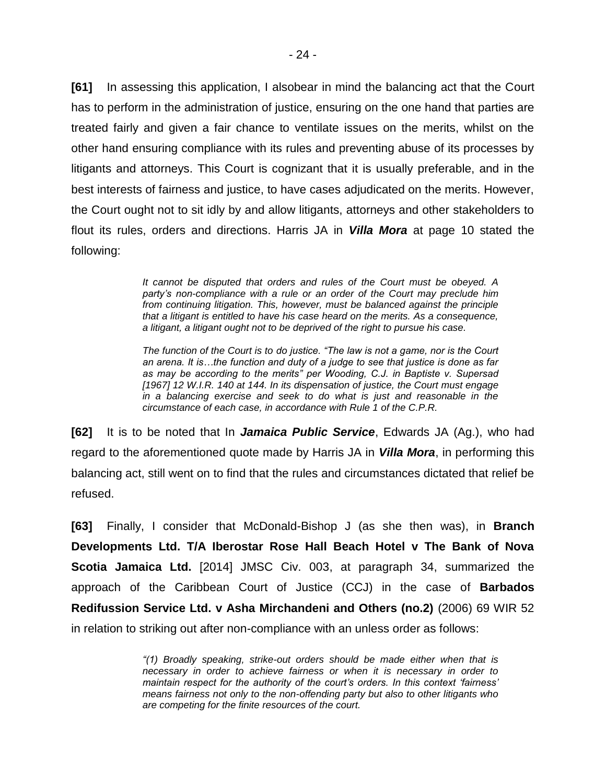**[61]** In assessing this application, I alsobear in mind the balancing act that the Court has to perform in the administration of justice, ensuring on the one hand that parties are treated fairly and given a fair chance to ventilate issues on the merits, whilst on the other hand ensuring compliance with its rules and preventing abuse of its processes by litigants and attorneys. This Court is cognizant that it is usually preferable, and in the best interests of fairness and justice, to have cases adjudicated on the merits. However, the Court ought not to sit idly by and allow litigants, attorneys and other stakeholders to flout its rules, orders and directions. Harris JA in *Villa Mora* at page 10 stated the following:

> *It cannot be disputed that orders and rules of the Court must be obeyed. A party's non-compliance with a rule or an order of the Court may preclude him from continuing litigation. This, however, must be balanced against the principle that a litigant is entitled to have his case heard on the merits. As a consequence, a litigant, a litigant ought not to be deprived of the right to pursue his case.*

> *The function of the Court is to do justice. "The law is not a game, nor is the Court an arena. It is…the function and duty of a judge to see that justice is done as far as may be according to the merits" per Wooding, C.J. in Baptiste v. Supersad [1967] 12 W.I.R. 140 at 144. In its dispensation of justice, the Court must engage in a balancing exercise and seek to do what is just and reasonable in the circumstance of each case, in accordance with Rule 1 of the C.P.R.*

**[62]** It is to be noted that In *Jamaica Public Service*, Edwards JA (Ag.), who had regard to the aforementioned quote made by Harris JA in *Villa Mora*, in performing this balancing act, still went on to find that the rules and circumstances dictated that relief be refused.

**[63]** Finally, I consider that McDonald-Bishop J (as she then was), in **Branch Developments Ltd. T/A Iberostar Rose Hall Beach Hotel v The Bank of Nova Scotia Jamaica Ltd.** [2014] JMSC Civ. 003, at paragraph 34, summarized the approach of the Caribbean Court of Justice (CCJ) in the case of **Barbados Redifussion Service Ltd. v Asha Mirchandeni and Others (no.2)** (2006) 69 WIR 52 in relation to striking out after non-compliance with an unless order as follows:

> *"(1) Broadly speaking, strike-out orders should be made either when that is necessary in order to achieve fairness or when it is necessary in order to maintain respect for the authority of the court's orders. In this context 'fairness' means fairness not only to the non-offending party but also to other litigants who are competing for the finite resources of the court.*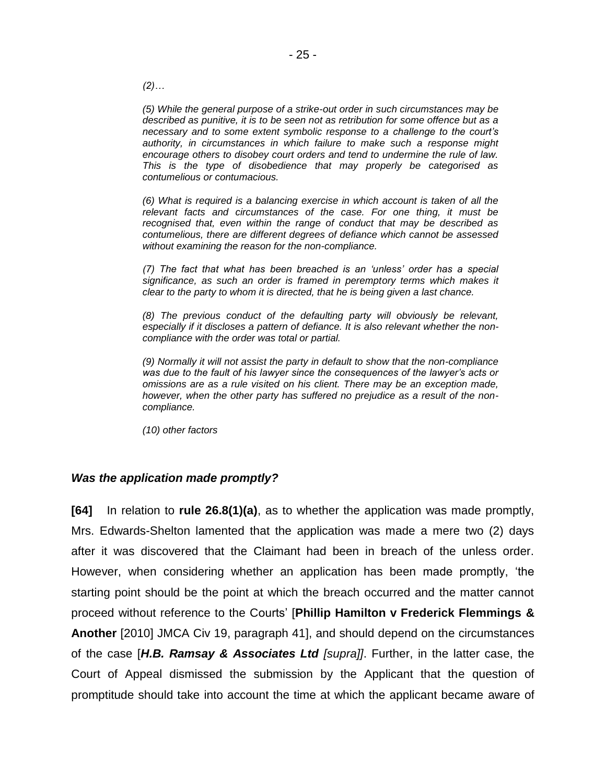*(2)…*

*(5) While the general purpose of a strike-out order in such circumstances may be described as punitive, it is to be seen not as retribution for some offence but as a necessary and to some extent symbolic response to a challenge to the court's authority, in circumstances in which failure to make such a response might encourage others to disobey court orders and tend to undermine the rule of law. This is the type of disobedience that may properly be categorised as contumelious or contumacious.* 

*(6) What is required is a balancing exercise in which account is taken of all the relevant facts and circumstances of the case. For one thing, it must be recognised that, even within the range of conduct that may be described as contumelious, there are different degrees of defiance which cannot be assessed without examining the reason for the non-compliance.*

*(7) The fact that what has been breached is an 'unless' order has a special significance, as such an order is framed in peremptory terms which makes it clear to the party to whom it is directed, that he is being given a last chance.*

*(8) The previous conduct of the defaulting party will obviously be relevant, especially if it discloses a pattern of defiance. It is also relevant whether the noncompliance with the order was total or partial.* 

*(9) Normally it will not assist the party in default to show that the non-compliance was due to the fault of his lawyer since the consequences of the lawyer's acts or omissions are as a rule visited on his client. There may be an exception made, however, when the other party has suffered no prejudice as a result of the noncompliance.* 

*(10) other factors* 

## *Was the application made promptly?*

**[64]** In relation to **rule 26.8(1)(a)**, as to whether the application was made promptly, Mrs. Edwards-Shelton lamented that the application was made a mere two (2) days after it was discovered that the Claimant had been in breach of the unless order. However, when considering whether an application has been made promptly, 'the starting point should be the point at which the breach occurred and the matter cannot proceed without reference to the Courts' [**Phillip Hamilton v Frederick Flemmings & Another** [2010] JMCA Civ 19, paragraph 41], and should depend on the circumstances of the case [*H.B. Ramsay & Associates Ltd [supra]]*. Further, in the latter case, the Court of Appeal dismissed the submission by the Applicant that the question of promptitude should take into account the time at which the applicant became aware of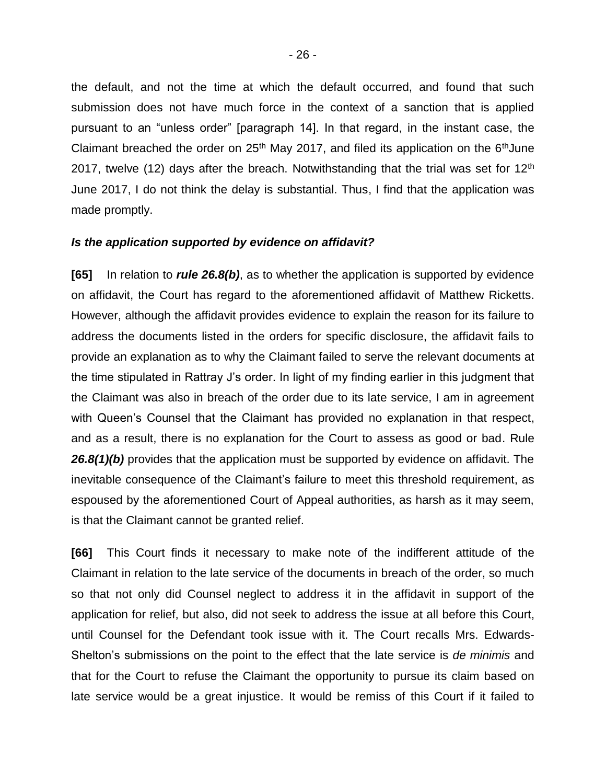the default, and not the time at which the default occurred, and found that such submission does not have much force in the context of a sanction that is applied pursuant to an "unless order" [paragraph 14]. In that regard, in the instant case, the Claimant breached the order on  $25<sup>th</sup>$  May 2017, and filed its application on the  $6<sup>th</sup>$ June 2017, twelve (12) days after the breach. Notwithstanding that the trial was set for  $12<sup>th</sup>$ June 2017, I do not think the delay is substantial. Thus, I find that the application was made promptly.

#### *Is the application supported by evidence on affidavit?*

**[65]** In relation to *rule 26.8(b)*, as to whether the application is supported by evidence on affidavit, the Court has regard to the aforementioned affidavit of Matthew Ricketts. However, although the affidavit provides evidence to explain the reason for its failure to address the documents listed in the orders for specific disclosure, the affidavit fails to provide an explanation as to why the Claimant failed to serve the relevant documents at the time stipulated in Rattray J's order. In light of my finding earlier in this judgment that the Claimant was also in breach of the order due to its late service, I am in agreement with Queen's Counsel that the Claimant has provided no explanation in that respect, and as a result, there is no explanation for the Court to assess as good or bad. Rule 26.8(1)(b) provides that the application must be supported by evidence on affidavit. The inevitable consequence of the Claimant's failure to meet this threshold requirement, as espoused by the aforementioned Court of Appeal authorities, as harsh as it may seem, is that the Claimant cannot be granted relief.

**[66]** This Court finds it necessary to make note of the indifferent attitude of the Claimant in relation to the late service of the documents in breach of the order, so much so that not only did Counsel neglect to address it in the affidavit in support of the application for relief, but also, did not seek to address the issue at all before this Court, until Counsel for the Defendant took issue with it. The Court recalls Mrs. Edwards-Shelton's submissions on the point to the effect that the late service is *de minimis* and that for the Court to refuse the Claimant the opportunity to pursue its claim based on late service would be a great injustice. It would be remiss of this Court if it failed to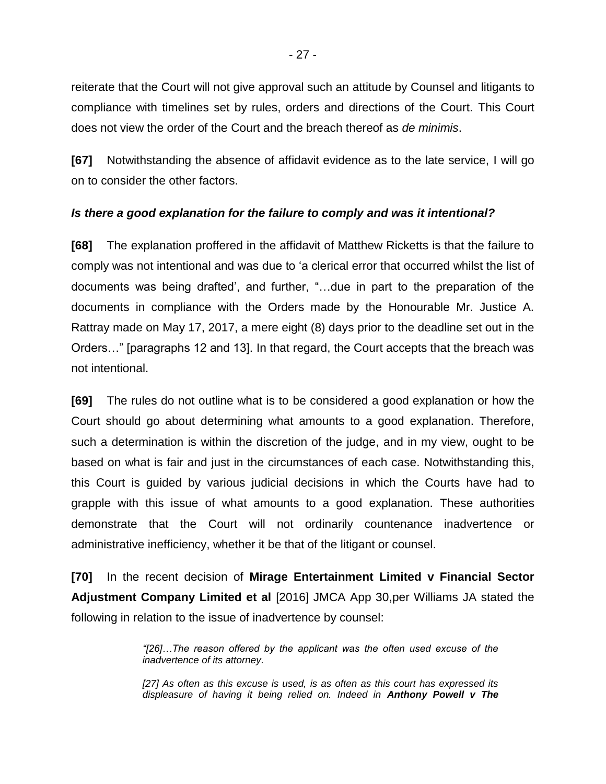reiterate that the Court will not give approval such an attitude by Counsel and litigants to compliance with timelines set by rules, orders and directions of the Court. This Court does not view the order of the Court and the breach thereof as *de minimis*.

**[67]** Notwithstanding the absence of affidavit evidence as to the late service, I will go on to consider the other factors.

## *Is there a good explanation for the failure to comply and was it intentional?*

**[68]** The explanation proffered in the affidavit of Matthew Ricketts is that the failure to comply was not intentional and was due to 'a clerical error that occurred whilst the list of documents was being drafted', and further, "…due in part to the preparation of the documents in compliance with the Orders made by the Honourable Mr. Justice A. Rattray made on May 17, 2017, a mere eight (8) days prior to the deadline set out in the Orders…" [paragraphs 12 and 13]. In that regard, the Court accepts that the breach was not intentional.

**[69]** The rules do not outline what is to be considered a good explanation or how the Court should go about determining what amounts to a good explanation. Therefore, such a determination is within the discretion of the judge, and in my view, ought to be based on what is fair and just in the circumstances of each case. Notwithstanding this, this Court is guided by various judicial decisions in which the Courts have had to grapple with this issue of what amounts to a good explanation. These authorities demonstrate that the Court will not ordinarily countenance inadvertence or administrative inefficiency, whether it be that of the litigant or counsel.

**[70]** In the recent decision of **Mirage Entertainment Limited v Financial Sector Adjustment Company Limited et al** [2016] JMCA App 30,per Williams JA stated the following in relation to the issue of inadvertence by counsel:

> *"[26]…The reason offered by the applicant was the often used excuse of the inadvertence of its attorney.*

> *[27] As often as this excuse is used, is as often as this court has expressed its displeasure of having it being relied on. Indeed in Anthony Powell v The*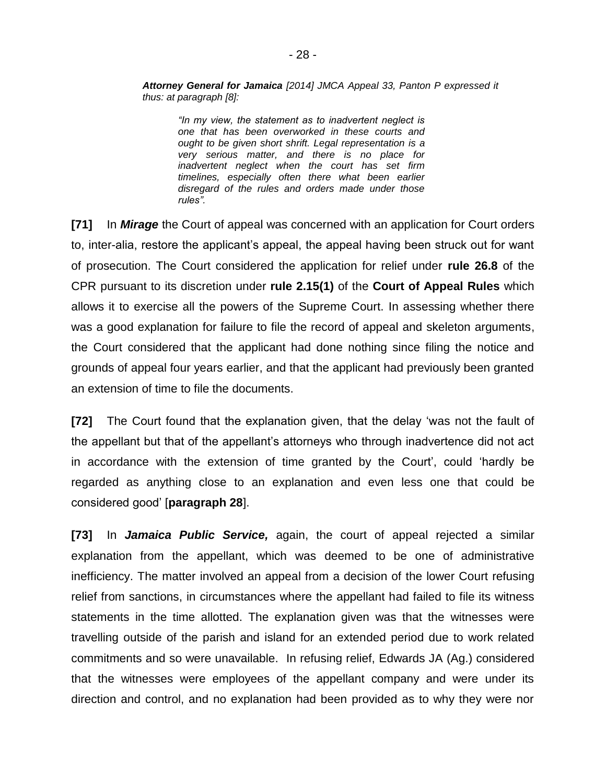*Attorney General for Jamaica [2014] JMCA Appeal 33, Panton P expressed it thus: at paragraph [8]:*

*"In my view, the statement as to inadvertent neglect is one that has been overworked in these courts and ought to be given short shrift. Legal representation is a very serious matter, and there is no place for inadvertent neglect when the court has set firm timelines, especially often there what been earlier disregard of the rules and orders made under those rules".*

**[71]** In *Mirage* the Court of appeal was concerned with an application for Court orders to, inter-alia, restore the applicant's appeal, the appeal having been struck out for want of prosecution. The Court considered the application for relief under **rule 26.8** of the CPR pursuant to its discretion under **rule 2.15(1)** of the **Court of Appeal Rules** which allows it to exercise all the powers of the Supreme Court. In assessing whether there was a good explanation for failure to file the record of appeal and skeleton arguments, the Court considered that the applicant had done nothing since filing the notice and grounds of appeal four years earlier, and that the applicant had previously been granted an extension of time to file the documents.

**[72]** The Court found that the explanation given, that the delay 'was not the fault of the appellant but that of the appellant's attorneys who through inadvertence did not act in accordance with the extension of time granted by the Court', could 'hardly be regarded as anything close to an explanation and even less one that could be considered good' [**paragraph 28**].

**[73]** In *Jamaica Public Service,* again, the court of appeal rejected a similar explanation from the appellant, which was deemed to be one of administrative inefficiency. The matter involved an appeal from a decision of the lower Court refusing relief from sanctions, in circumstances where the appellant had failed to file its witness statements in the time allotted. The explanation given was that the witnesses were travelling outside of the parish and island for an extended period due to work related commitments and so were unavailable. In refusing relief, Edwards JA (Ag.) considered that the witnesses were employees of the appellant company and were under its direction and control, and no explanation had been provided as to why they were nor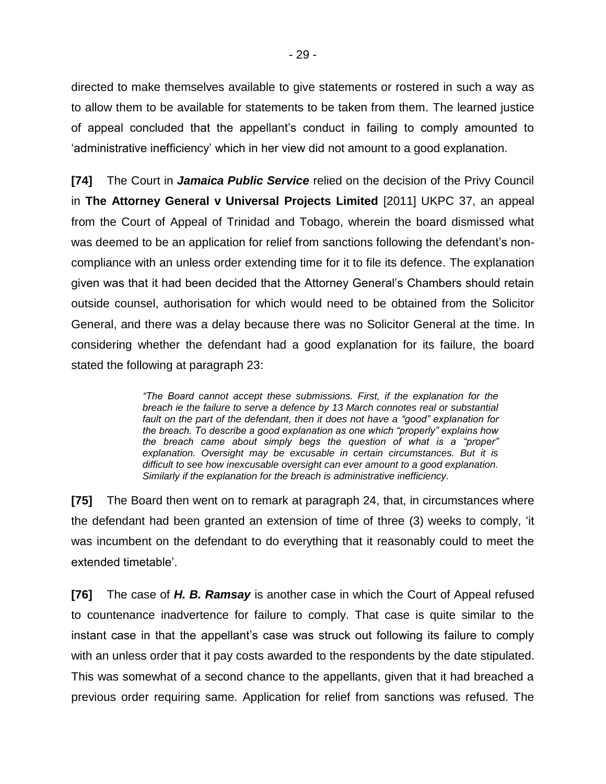directed to make themselves available to give statements or rostered in such a way as to allow them to be available for statements to be taken from them. The learned justice of appeal concluded that the appellant's conduct in failing to comply amounted to 'administrative inefficiency' which in her view did not amount to a good explanation.

**[74]** The Court in *Jamaica Public Service* relied on the decision of the Privy Council in **The Attorney General v Universal Projects Limited** [2011] UKPC 37, an appeal from the Court of Appeal of Trinidad and Tobago, wherein the board dismissed what was deemed to be an application for relief from sanctions following the defendant's noncompliance with an unless order extending time for it to file its defence. The explanation given was that it had been decided that the Attorney General's Chambers should retain outside counsel, authorisation for which would need to be obtained from the Solicitor General, and there was a delay because there was no Solicitor General at the time. In considering whether the defendant had a good explanation for its failure, the board stated the following at paragraph 23:

> *"The Board cannot accept these submissions. First, if the explanation for the breach ie the failure to serve a defence by 13 March connotes real or substantial fault on the part of the defendant, then it does not have a "good" explanation for the breach. To describe a good explanation as one which "properly" explains how the breach came about simply begs the question of what is a "proper" explanation. Oversight may be excusable in certain circumstances. But it is difficult to see how inexcusable oversight can ever amount to a good explanation. Similarly if the explanation for the breach is administrative inefficiency.*

**[75]** The Board then went on to remark at paragraph 24, that, in circumstances where the defendant had been granted an extension of time of three (3) weeks to comply, 'it was incumbent on the defendant to do everything that it reasonably could to meet the extended timetable'.

**[76]** The case of *H. B. Ramsay* is another case in which the Court of Appeal refused to countenance inadvertence for failure to comply. That case is quite similar to the instant case in that the appellant's case was struck out following its failure to comply with an unless order that it pay costs awarded to the respondents by the date stipulated. This was somewhat of a second chance to the appellants, given that it had breached a previous order requiring same. Application for relief from sanctions was refused. The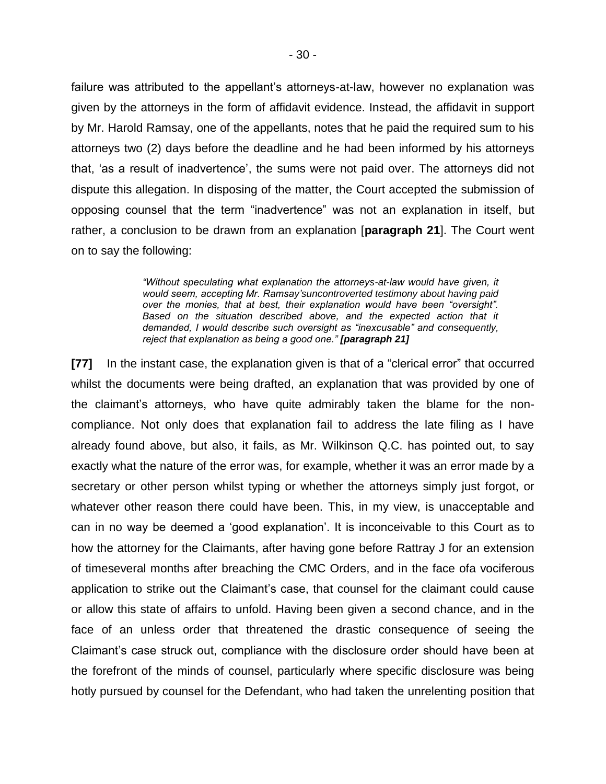failure was attributed to the appellant's attorneys-at-law, however no explanation was given by the attorneys in the form of affidavit evidence. Instead, the affidavit in support by Mr. Harold Ramsay, one of the appellants, notes that he paid the required sum to his attorneys two (2) days before the deadline and he had been informed by his attorneys that, 'as a result of inadvertence', the sums were not paid over. The attorneys did not dispute this allegation. In disposing of the matter, the Court accepted the submission of opposing counsel that the term "inadvertence" was not an explanation in itself, but rather, a conclusion to be drawn from an explanation [**paragraph 21**]. The Court went on to say the following:

> *"Without speculating what explanation the attorneys-at-law would have given, it would seem, accepting Mr. Ramsay'suncontroverted testimony about having paid over the monies, that at best, their explanation would have been "oversight".*  Based on the situation described above, and the expected action that it *demanded, I would describe such oversight as "inexcusable" and consequently, reject that explanation as being a good one." [paragraph 21]*

**[77]** In the instant case, the explanation given is that of a "clerical error" that occurred whilst the documents were being drafted, an explanation that was provided by one of the claimant's attorneys, who have quite admirably taken the blame for the noncompliance. Not only does that explanation fail to address the late filing as I have already found above, but also, it fails, as Mr. Wilkinson Q.C. has pointed out, to say exactly what the nature of the error was, for example, whether it was an error made by a secretary or other person whilst typing or whether the attorneys simply just forgot, or whatever other reason there could have been. This, in my view, is unacceptable and can in no way be deemed a 'good explanation'. It is inconceivable to this Court as to how the attorney for the Claimants, after having gone before Rattray J for an extension of timeseveral months after breaching the CMC Orders, and in the face ofa vociferous application to strike out the Claimant's case, that counsel for the claimant could cause or allow this state of affairs to unfold. Having been given a second chance, and in the face of an unless order that threatened the drastic consequence of seeing the Claimant's case struck out, compliance with the disclosure order should have been at the forefront of the minds of counsel, particularly where specific disclosure was being hotly pursued by counsel for the Defendant, who had taken the unrelenting position that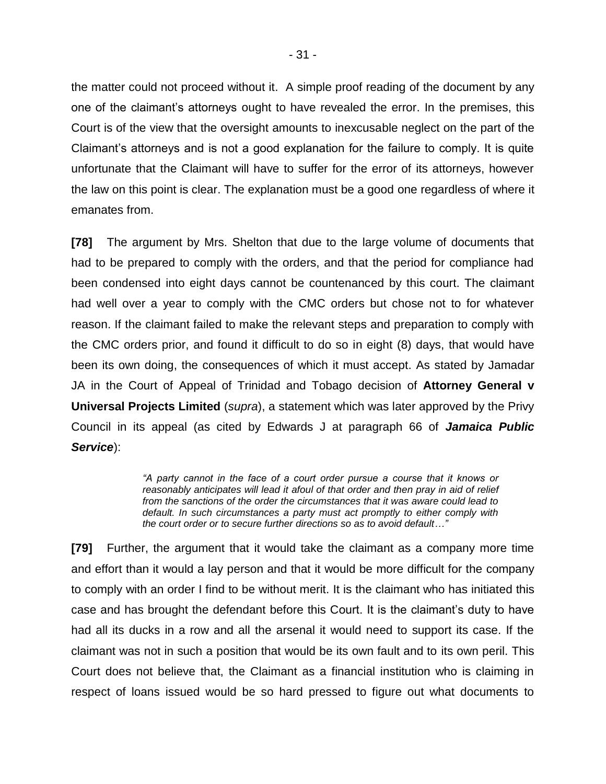the matter could not proceed without it. A simple proof reading of the document by any one of the claimant's attorneys ought to have revealed the error. In the premises, this Court is of the view that the oversight amounts to inexcusable neglect on the part of the Claimant's attorneys and is not a good explanation for the failure to comply. It is quite unfortunate that the Claimant will have to suffer for the error of its attorneys, however the law on this point is clear. The explanation must be a good one regardless of where it emanates from.

**[78]** The argument by Mrs. Shelton that due to the large volume of documents that had to be prepared to comply with the orders, and that the period for compliance had been condensed into eight days cannot be countenanced by this court. The claimant had well over a year to comply with the CMC orders but chose not to for whatever reason. If the claimant failed to make the relevant steps and preparation to comply with the CMC orders prior, and found it difficult to do so in eight (8) days, that would have been its own doing, the consequences of which it must accept. As stated by Jamadar JA in the Court of Appeal of Trinidad and Tobago decision of **Attorney General v Universal Projects Limited** (*supra*), a statement which was later approved by the Privy Council in its appeal (as cited by Edwards J at paragraph 66 of *Jamaica Public Service*):

> *"A party cannot in the face of a court order pursue a course that it knows or reasonably anticipates will lead it afoul of that order and then pray in aid of relief from the sanctions of the order the circumstances that it was aware could lead to default. In such circumstances a party must act promptly to either comply with the court order or to secure further directions so as to avoid default…"*

**[79]** Further, the argument that it would take the claimant as a company more time and effort than it would a lay person and that it would be more difficult for the company to comply with an order I find to be without merit. It is the claimant who has initiated this case and has brought the defendant before this Court. It is the claimant's duty to have had all its ducks in a row and all the arsenal it would need to support its case. If the claimant was not in such a position that would be its own fault and to its own peril. This Court does not believe that, the Claimant as a financial institution who is claiming in respect of loans issued would be so hard pressed to figure out what documents to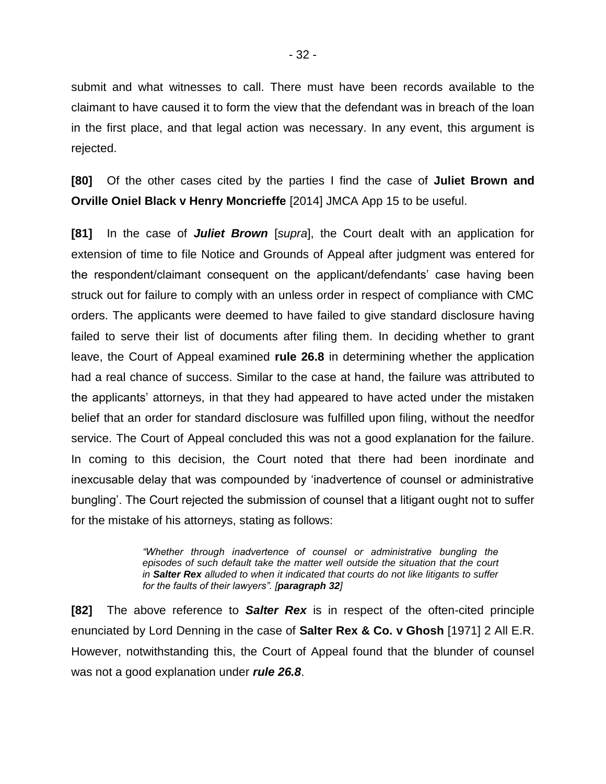submit and what witnesses to call. There must have been records available to the claimant to have caused it to form the view that the defendant was in breach of the loan in the first place, and that legal action was necessary. In any event, this argument is rejected.

**[80]** Of the other cases cited by the parties I find the case of **Juliet Brown and Orville Oniel Black v Henry Moncrieffe** [2014] JMCA App 15 to be useful.

**[81]** In the case of *Juliet Brown* [*supra*], the Court dealt with an application for extension of time to file Notice and Grounds of Appeal after judgment was entered for the respondent/claimant consequent on the applicant/defendants' case having been struck out for failure to comply with an unless order in respect of compliance with CMC orders. The applicants were deemed to have failed to give standard disclosure having failed to serve their list of documents after filing them. In deciding whether to grant leave, the Court of Appeal examined **rule 26.8** in determining whether the application had a real chance of success. Similar to the case at hand, the failure was attributed to the applicants' attorneys, in that they had appeared to have acted under the mistaken belief that an order for standard disclosure was fulfilled upon filing, without the needfor service. The Court of Appeal concluded this was not a good explanation for the failure. In coming to this decision, the Court noted that there had been inordinate and inexcusable delay that was compounded by 'inadvertence of counsel or administrative bungling'. The Court rejected the submission of counsel that a litigant ought not to suffer for the mistake of his attorneys, stating as follows:

> *"Whether through inadvertence of counsel or administrative bungling the episodes of such default take the matter well outside the situation that the court in Salter Rex alluded to when it indicated that courts do not like litigants to suffer for the faults of their lawyers". [paragraph 32]*

**[82]** The above reference to *Salter Rex* is in respect of the often-cited principle enunciated by Lord Denning in the case of **Salter Rex & Co. v Ghosh** [1971] 2 All E.R. However, notwithstanding this, the Court of Appeal found that the blunder of counsel was not a good explanation under *rule 26.8*.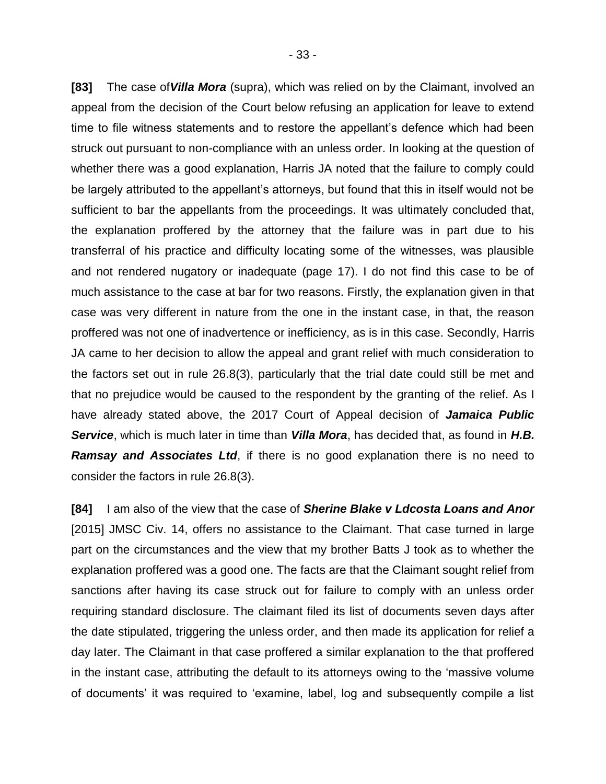**[83]** The case of*Villa Mora* (supra), which was relied on by the Claimant, involved an appeal from the decision of the Court below refusing an application for leave to extend time to file witness statements and to restore the appellant's defence which had been struck out pursuant to non-compliance with an unless order. In looking at the question of whether there was a good explanation, Harris JA noted that the failure to comply could be largely attributed to the appellant's attorneys, but found that this in itself would not be sufficient to bar the appellants from the proceedings. It was ultimately concluded that, the explanation proffered by the attorney that the failure was in part due to his transferral of his practice and difficulty locating some of the witnesses, was plausible and not rendered nugatory or inadequate (page 17). I do not find this case to be of much assistance to the case at bar for two reasons. Firstly, the explanation given in that case was very different in nature from the one in the instant case, in that, the reason proffered was not one of inadvertence or inefficiency, as is in this case. Secondly, Harris JA came to her decision to allow the appeal and grant relief with much consideration to the factors set out in rule 26.8(3), particularly that the trial date could still be met and that no prejudice would be caused to the respondent by the granting of the relief. As I have already stated above, the 2017 Court of Appeal decision of *Jamaica Public Service*, which is much later in time than *Villa Mora*, has decided that, as found in *H.B. Ramsay and Associates Ltd*, if there is no good explanation there is no need to consider the factors in rule 26.8(3).

**[84]** I am also of the view that the case of *Sherine Blake v Ldcosta Loans and Anor* [2015] JMSC Civ. 14, offers no assistance to the Claimant. That case turned in large part on the circumstances and the view that my brother Batts J took as to whether the explanation proffered was a good one. The facts are that the Claimant sought relief from sanctions after having its case struck out for failure to comply with an unless order requiring standard disclosure. The claimant filed its list of documents seven days after the date stipulated, triggering the unless order, and then made its application for relief a day later. The Claimant in that case proffered a similar explanation to the that proffered in the instant case, attributing the default to its attorneys owing to the 'massive volume of documents' it was required to 'examine, label, log and subsequently compile a list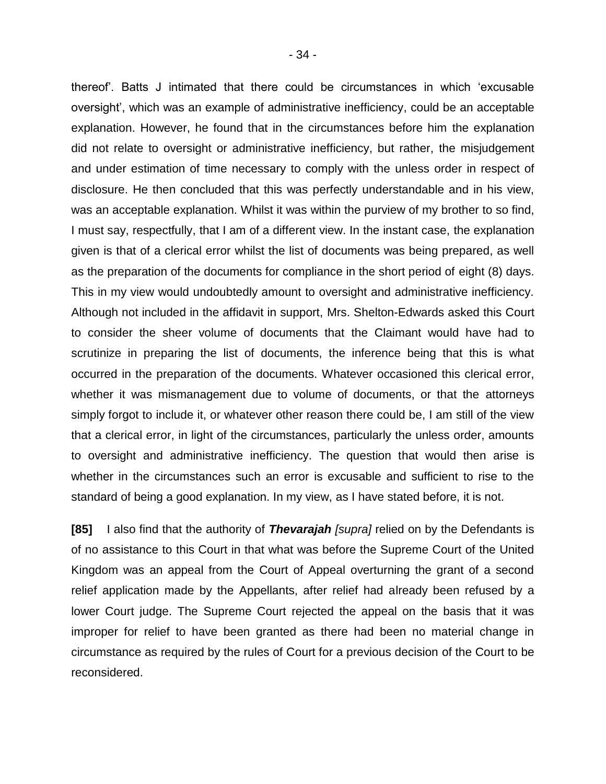thereof'. Batts J intimated that there could be circumstances in which 'excusable oversight', which was an example of administrative inefficiency, could be an acceptable explanation. However, he found that in the circumstances before him the explanation did not relate to oversight or administrative inefficiency, but rather, the misjudgement and under estimation of time necessary to comply with the unless order in respect of disclosure. He then concluded that this was perfectly understandable and in his view, was an acceptable explanation. Whilst it was within the purview of my brother to so find, I must say, respectfully, that I am of a different view. In the instant case, the explanation given is that of a clerical error whilst the list of documents was being prepared, as well as the preparation of the documents for compliance in the short period of eight (8) days. This in my view would undoubtedly amount to oversight and administrative inefficiency. Although not included in the affidavit in support, Mrs. Shelton-Edwards asked this Court to consider the sheer volume of documents that the Claimant would have had to scrutinize in preparing the list of documents, the inference being that this is what occurred in the preparation of the documents. Whatever occasioned this clerical error, whether it was mismanagement due to volume of documents, or that the attorneys simply forgot to include it, or whatever other reason there could be, I am still of the view that a clerical error, in light of the circumstances, particularly the unless order, amounts to oversight and administrative inefficiency. The question that would then arise is whether in the circumstances such an error is excusable and sufficient to rise to the standard of being a good explanation. In my view, as I have stated before, it is not.

**[85]** I also find that the authority of *Thevarajah [supra]* relied on by the Defendants is of no assistance to this Court in that what was before the Supreme Court of the United Kingdom was an appeal from the Court of Appeal overturning the grant of a second relief application made by the Appellants, after relief had already been refused by a lower Court judge. The Supreme Court rejected the appeal on the basis that it was improper for relief to have been granted as there had been no material change in circumstance as required by the rules of Court for a previous decision of the Court to be reconsidered.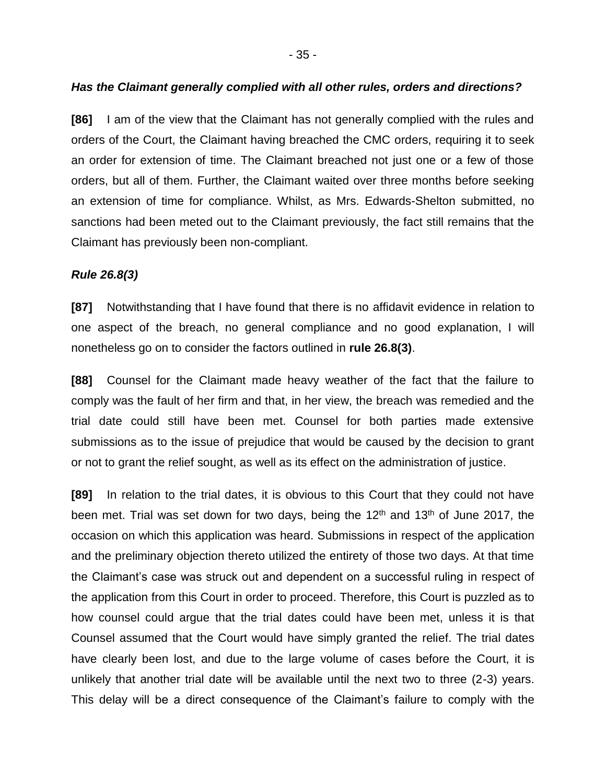## *Has the Claimant generally complied with all other rules, orders and directions?*

**[86]** I am of the view that the Claimant has not generally complied with the rules and orders of the Court, the Claimant having breached the CMC orders, requiring it to seek an order for extension of time. The Claimant breached not just one or a few of those orders, but all of them. Further, the Claimant waited over three months before seeking an extension of time for compliance. Whilst, as Mrs. Edwards-Shelton submitted, no sanctions had been meted out to the Claimant previously, the fact still remains that the Claimant has previously been non-compliant.

# *Rule 26.8(3)*

**[87]** Notwithstanding that I have found that there is no affidavit evidence in relation to one aspect of the breach, no general compliance and no good explanation, I will nonetheless go on to consider the factors outlined in **rule 26.8(3)**.

**[88]** Counsel for the Claimant made heavy weather of the fact that the failure to comply was the fault of her firm and that, in her view, the breach was remedied and the trial date could still have been met. Counsel for both parties made extensive submissions as to the issue of prejudice that would be caused by the decision to grant or not to grant the relief sought, as well as its effect on the administration of justice.

**[89]** In relation to the trial dates, it is obvious to this Court that they could not have been met. Trial was set down for two days, being the  $12<sup>th</sup>$  and  $13<sup>th</sup>$  of June 2017, the occasion on which this application was heard. Submissions in respect of the application and the preliminary objection thereto utilized the entirety of those two days. At that time the Claimant's case was struck out and dependent on a successful ruling in respect of the application from this Court in order to proceed. Therefore, this Court is puzzled as to how counsel could argue that the trial dates could have been met, unless it is that Counsel assumed that the Court would have simply granted the relief. The trial dates have clearly been lost, and due to the large volume of cases before the Court, it is unlikely that another trial date will be available until the next two to three (2-3) years. This delay will be a direct consequence of the Claimant's failure to comply with the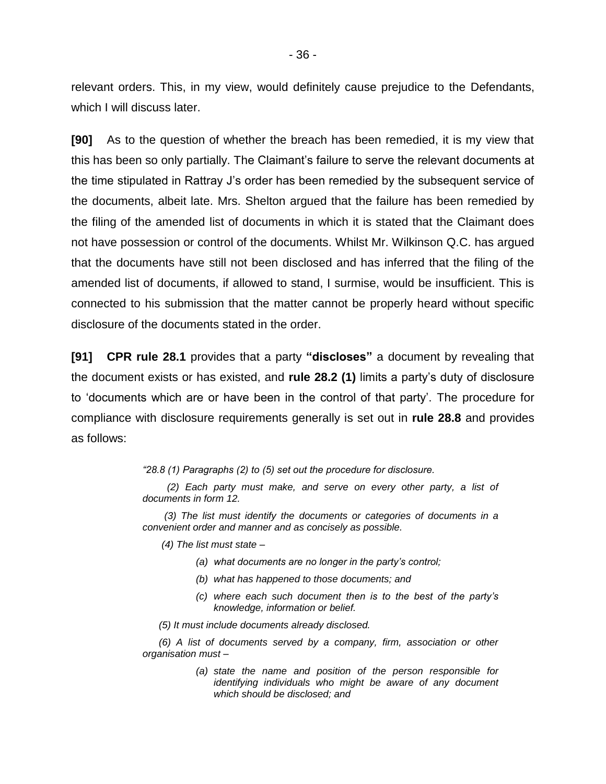relevant orders. This, in my view, would definitely cause prejudice to the Defendants, which I will discuss later.

**[90]** As to the question of whether the breach has been remedied, it is my view that this has been so only partially. The Claimant's failure to serve the relevant documents at the time stipulated in Rattray J's order has been remedied by the subsequent service of the documents, albeit late. Mrs. Shelton argued that the failure has been remedied by the filing of the amended list of documents in which it is stated that the Claimant does not have possession or control of the documents. Whilst Mr. Wilkinson Q.C. has argued that the documents have still not been disclosed and has inferred that the filing of the amended list of documents, if allowed to stand, I surmise, would be insufficient. This is connected to his submission that the matter cannot be properly heard without specific disclosure of the documents stated in the order.

**[91] CPR rule 28.1** provides that a party **"discloses"** a document by revealing that the document exists or has existed, and **rule 28.2 (1)** limits a party's duty of disclosure to 'documents which are or have been in the control of that party'. The procedure for compliance with disclosure requirements generally is set out in **rule 28.8** and provides as follows:

*"28.8 (1) Paragraphs (2) to (5) set out the procedure for disclosure.*

 *(2) Each party must make, and serve on every other party, a list of documents in form 12.*

 *(3) The list must identify the documents or categories of documents in a convenient order and manner and as concisely as possible.* 

 *(4) The list must state –*

- *(a) what documents are no longer in the party's control;*
- *(b) what has happened to those documents; and*
- *(c) where each such document then is to the best of the party's knowledge, information or belief.*
- *(5) It must include documents already disclosed.*

 *(6) A list of documents served by a company, firm, association or other organisation must –*

> *(a) state the name and position of the person responsible for identifying individuals who might be aware of any document which should be disclosed; and*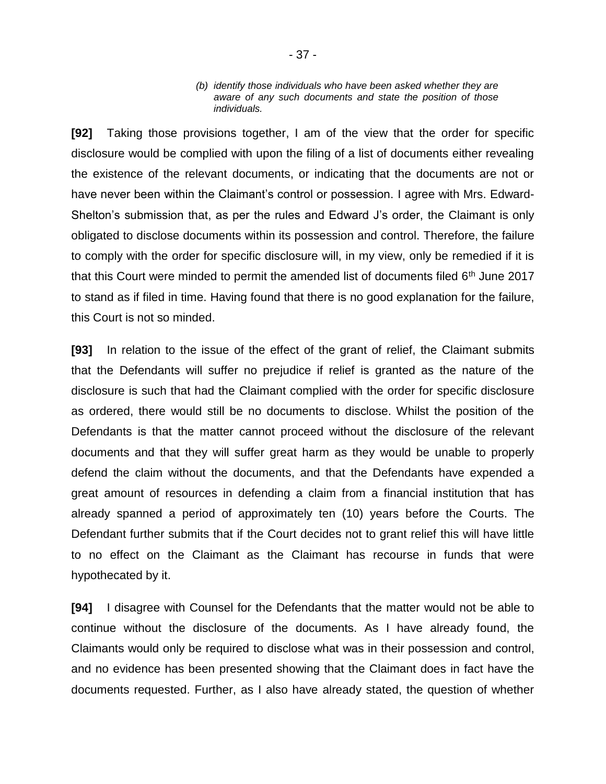#### *(b) identify those individuals who have been asked whether they are aware of any such documents and state the position of those individuals.*

**[92]** Taking those provisions together, I am of the view that the order for specific disclosure would be complied with upon the filing of a list of documents either revealing the existence of the relevant documents, or indicating that the documents are not or have never been within the Claimant's control or possession. I agree with Mrs. Edward-Shelton's submission that, as per the rules and Edward J's order, the Claimant is only obligated to disclose documents within its possession and control. Therefore, the failure to comply with the order for specific disclosure will, in my view, only be remedied if it is that this Court were minded to permit the amended list of documents filed  $6<sup>th</sup>$  June 2017 to stand as if filed in time. Having found that there is no good explanation for the failure, this Court is not so minded.

**[93]** In relation to the issue of the effect of the grant of relief, the Claimant submits that the Defendants will suffer no prejudice if relief is granted as the nature of the disclosure is such that had the Claimant complied with the order for specific disclosure as ordered, there would still be no documents to disclose. Whilst the position of the Defendants is that the matter cannot proceed without the disclosure of the relevant documents and that they will suffer great harm as they would be unable to properly defend the claim without the documents, and that the Defendants have expended a great amount of resources in defending a claim from a financial institution that has already spanned a period of approximately ten (10) years before the Courts. The Defendant further submits that if the Court decides not to grant relief this will have little to no effect on the Claimant as the Claimant has recourse in funds that were hypothecated by it.

**[94]** I disagree with Counsel for the Defendants that the matter would not be able to continue without the disclosure of the documents. As I have already found, the Claimants would only be required to disclose what was in their possession and control, and no evidence has been presented showing that the Claimant does in fact have the documents requested. Further, as I also have already stated, the question of whether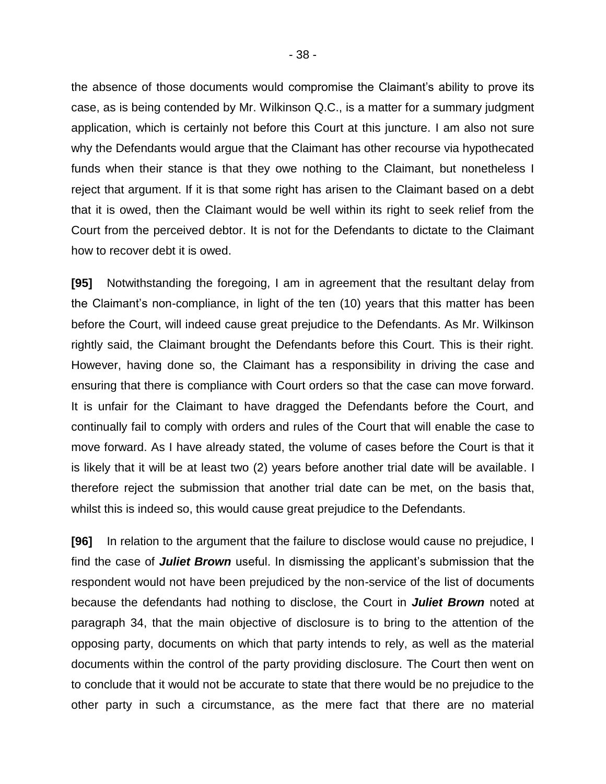the absence of those documents would compromise the Claimant's ability to prove its case, as is being contended by Mr. Wilkinson Q.C., is a matter for a summary judgment application, which is certainly not before this Court at this juncture. I am also not sure why the Defendants would argue that the Claimant has other recourse via hypothecated funds when their stance is that they owe nothing to the Claimant, but nonetheless I reject that argument. If it is that some right has arisen to the Claimant based on a debt that it is owed, then the Claimant would be well within its right to seek relief from the Court from the perceived debtor. It is not for the Defendants to dictate to the Claimant how to recover debt it is owed.

**[95]** Notwithstanding the foregoing, I am in agreement that the resultant delay from the Claimant's non-compliance, in light of the ten (10) years that this matter has been before the Court, will indeed cause great prejudice to the Defendants. As Mr. Wilkinson rightly said, the Claimant brought the Defendants before this Court. This is their right. However, having done so, the Claimant has a responsibility in driving the case and ensuring that there is compliance with Court orders so that the case can move forward. It is unfair for the Claimant to have dragged the Defendants before the Court, and continually fail to comply with orders and rules of the Court that will enable the case to move forward. As I have already stated, the volume of cases before the Court is that it is likely that it will be at least two (2) years before another trial date will be available. I therefore reject the submission that another trial date can be met, on the basis that, whilst this is indeed so, this would cause great prejudice to the Defendants.

**[96]** In relation to the argument that the failure to disclose would cause no prejudice, I find the case of *Juliet Brown* useful. In dismissing the applicant's submission that the respondent would not have been prejudiced by the non-service of the list of documents because the defendants had nothing to disclose, the Court in *Juliet Brown* noted at paragraph 34, that the main objective of disclosure is to bring to the attention of the opposing party, documents on which that party intends to rely, as well as the material documents within the control of the party providing disclosure. The Court then went on to conclude that it would not be accurate to state that there would be no prejudice to the other party in such a circumstance, as the mere fact that there are no material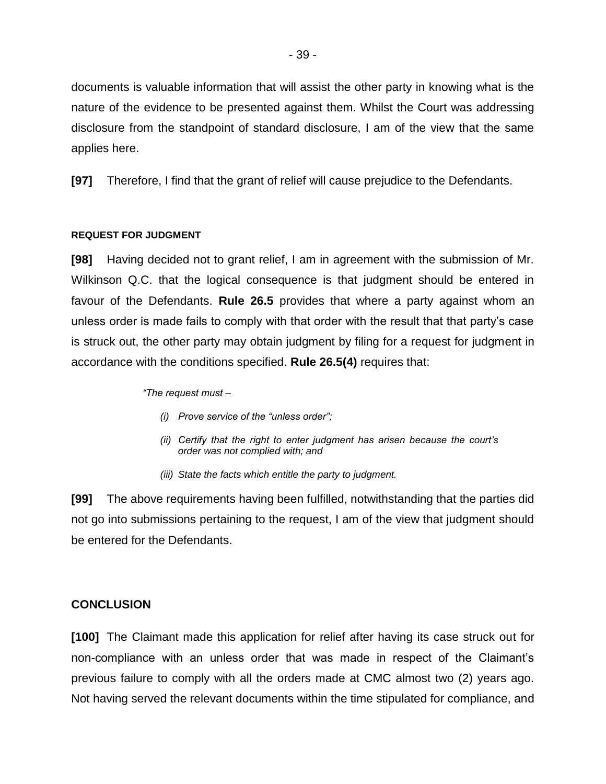documents is valuable information that will assist the other party in knowing what is the nature of the evidence to be presented against them. Whilst the Court was addressing disclosure from the standpoint of standard disclosure, I am of the view that the same applies here.

**[97]** Therefore, I find that the grant of relief will cause prejudice to the Defendants.

#### **REQUEST FOR JUDGMENT**

**[98]** Having decided not to grant relief, I am in agreement with the submission of Mr. Wilkinson Q.C. that the logical consequence is that judgment should be entered in favour of the Defendants. **Rule 26.5** provides that where a party against whom an unless order is made fails to comply with that order with the result that that party's case is struck out, the other party may obtain judgment by filing for a request for judgment in accordance with the conditions specified. **Rule 26.5(4)** requires that:

*"The request must –*

- *(i) Prove service of the "unless order";*
- *(ii) Certify that the right to enter judgment has arisen because the court's order was not complied with; and*
- *(iii) State the facts which entitle the party to judgment.*

**[99]** The above requirements having been fulfilled, notwithstanding that the parties did not go into submissions pertaining to the request, I am of the view that judgment should be entered for the Defendants.

## **CONCLUSION**

**[100]** The Claimant made this application for relief after having its case struck out for non-compliance with an unless order that was made in respect of the Claimant's previous failure to comply with all the orders made at CMC almost two (2) years ago. Not having served the relevant documents within the time stipulated for compliance, and